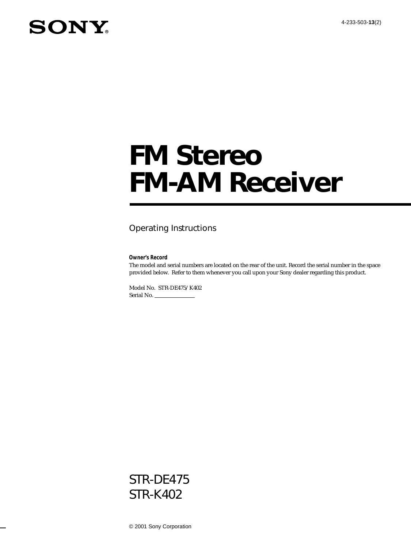## **SONY**

## *FM Stereo FM-AM Receiver*

Operating Instructions

**Owner's Record**

The model and serial numbers are located on the rear of the unit. Record the serial number in the space provided below. Refer to them whenever you call upon your Sony dealer regarding this product.

Model No. STR-DE475/K402 Serial No.

*STR-DE475 STR-K402*

© 2001 Sony Corporation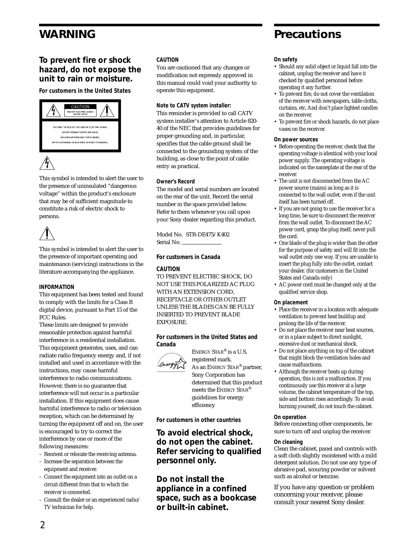## **WARNING**

#### **To prevent fire or shock hazard, do not expose the unit to rain or moisture.**

**For customers in the United States**





This symbol is intended to alert the user to the presence of uninsulated "dangerous voltage" within the product's enclosure that may be of sufficient magnitude to constitute a risk of electric shock to persons.

This symbol is intended to alert the user to the presence of important operating and maintenance (servicing) instructions in the literature accompanying the appliance.

#### **INFORMATION**

This equipment has been tested and found to comply with the limits for a Class B digital device, pursuant to Part 15 of the FCC Rules.

These limits are designed to provide reasonable protection against harmful interference in a residential installation. This equipment generates, uses, and can radiate radio frequency energy and, if not installed and used in accordance with the instructions, may cause harmful interference to radio communications. However, there is no guarantee that interference will not occur in a particular installation. If this equipment does cause harmful interference to radio or television reception, which can be determined by turning the equipment off and on, the user is encouraged to try to correct the interference by one or more of the following measures:

– Reorient or relocate the receiving antenna.

- Increase the separation between the equipment and receiver.
- Connect the equipment into an outlet on a circuit different from that to which the receiver is connected.
- Consult the dealer or an experienced radio/ TV technician for help.

#### **CAUTION**

You are cautioned that any changes or modification not expressly approved in this manual could void your authority to operate this equipment.

**Note to CATV system installer:** This reminder is provided to call CATV system installer's attention to Article 820- 40 of the NEC that provides guidelines for proper grounding and, in particular, specifies that the cable ground shall be connected to the grounding system of the building, as close to the point of cable entry as practical.

#### **Owner's Record**

The model and serial numbers are located on the rear of the unit. Record the serial number in the space provided below. Refer to them whenever you call upon your Sony dealer regarding this product.

Model No. STR-DE475/K402 Serial No.

#### **For customers in Canada**

#### **CAUTION**

TO PREVENT ELECTRIC SHOCK, DO NOT USE THIS POLARIZED AC PLUG WITH AN EXTENSION CORD, RECEPTACLE OR OTHER OUTLET UNLESS THE BLADES CAN BE FULLY INSERTED TO PREVENT BLADE EXPOSURE.

**For customers in the United States and Canada**



ENERGY STAR® is a U.S. registered mark.

As an ENERGY STAR<sup>®</sup> partner. Sony Corporation has determined that this product meets the ENERGY STAR® guidelines for energy efficiency

**For customers in other countries**

**To avoid electrical shock, do not open the cabinet. Refer servicing to qualified personnel only.**

**Do not install the appliance in a confined space, such as a bookcase or built-in cabinet.**

### **Precautions**

#### **On safety**

- Should any solid object or liquid fall into the cabinet, unplug the receiver and have it checked by qualified personnel before operating it any further.
- To prevent fire, do not cover the ventilation of the receiver with newspapers, table cloths, curtains, etc. And don't place lighted candles on the receiver.
- To prevent fire or shock hazards, do not place vases on the receiver.
- **On power sources**
- Before operating the receiver, check that the operating voltage is identical with your local power supply. The operating voltage is indicated on the nameplate at the rear of the receiver.
- The unit is not disconnected from the AC power source (mains) as long as it is connected to the wall outlet, even if the unit itself has been turned off.
- If you are not going to use the receiver for a long time, be sure to disconnect the receiver from the wall outlet. To disconnect the AC power cord, grasp the plug itself; never pull the cord.
- One blade of the plug is wider than the other for the purpose of safety and will fit into the wall outlet only one way. If you are unable to insert the plug fully into the outlet, contact your dealer. (for customers in the United States and Canada only)
- AC power cord must be changed only at the qualified service shop.

#### **On placement**

- Place the receiver in a location with adequate ventilation to prevent heat buildup and prolong the life of the receiver.
- Do not place the receiver near heat sources, or in a place subject to direct sunlight, excessive dust or mechanical shock.
- Do not place anything on top of the cabinet that might block the ventilation holes and cause malfunctions.
- Although the receiver heats up during operation, this is not a malfunction. If you continuously use this receiver at a large volume, the cabinet temperature of the top, side and bottom rises accordingly. To avoid burning yourself, do not touch the cabinet.

#### **On operation**

Before connecting other components, be sure to turn off and unplug the receiver.

#### **On cleaning**

Clean the cabinet, panel and controls with a soft cloth slightly moistened with a mild detergent solution. Do not use any type of abrasive pad, scouring powder or solvent such as alcohol or benzine.

If you have any question or problem concerning your receiver, please consult your nearest Sony dealer.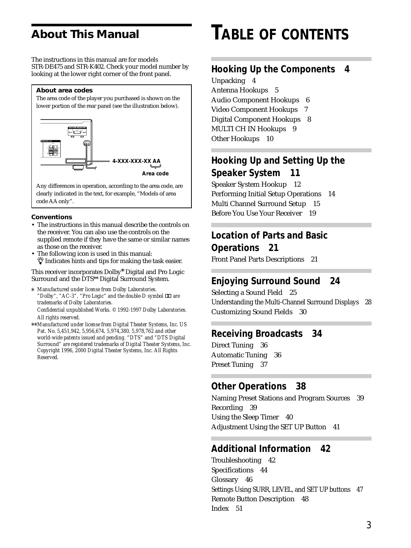## **About This Manual**

The instructions in this manual are for models STR-DE475 and STR-K402. Check your model number by looking at the lower right corner of the front panel.

#### **About area codes**

The area code of the player you purchased is shown on the lower portion of the rear panel (see the illustration below).



Any differences in operation, according to the area code, are clearly indicated in the text, for example, "Models of area code AA only".

#### **Conventions**

- The instructions in this manual describe the controls on the receiver. You can also use the controls on the supplied remote if they have the same or similar names as those on the receiver.
- The following icon is used in this manual:  $\ddot{Q}$  Indicates hints and tips for making the task easier.

This receiver incorporates Dolby\* Digital and Pro Logic Surround and the DTS\*\* Digital Surround System.

- *\* Manufactured under license from Dolby Laboratories. "Dolby", "AC-3", "Pro Logic" and the double-D symbol*  $\Box$  are *trademarks of Dolby Laboratories. Confidential unpublished Works. © 1992-1997 Dolby Laboratories. All rights reserved.*
- *\*\*Manufactured under license from Digital Theater Systems, Inc. US Pat. No. 5,451,942, 5,956,674, 5,974,380, 5,978,762 and other world-wide patents issued and pending. "DTS" and "DTS Digital Surround" are registered trademarks of Digital Theater Systems, Inc. Copyright 1996, 2000 Digital Theater Systems, Inc. All Rights Reserved.*

## **TABLE OF CONTENTS**

#### **[Hooking Up the Components 4](#page-3-0)**

[Unpacking 4](#page-3-0) [Antenna Hookups 5](#page-4-0) [Audio Component Hookups 6](#page-5-0) [Video Component Hookups 7](#page-6-0) [Digital Component Hookups 8](#page-7-0) [MULTI CH IN Hookups 9](#page-8-0) [Other Hookups 10](#page-9-0)

### **[Hooking Up and Setting Up the](#page-10-0) Speaker System 11**

[Speaker System Hookup 12](#page-11-0) [Performing Initial Setup Operations 14](#page-13-0) [Multi Channel Surround Setup 15](#page-14-0) [Before You Use Your Receiver 19](#page-18-0)

### **[Location of Parts and Basic](#page-20-0) [Operations 21](#page-20-0)**

[Front Panel Parts Descriptions 21](#page-20-0)

#### **[Enjoying Surround Sound 24](#page-23-0)**

[Selecting a Sound Field 25](#page-24-0) [Understanding the Multi-Channel Surround Displays 28](#page-27-0) [Customizing Sound Fields 30](#page-29-0)

#### **[Receiving Broadcasts 34](#page-33-0)**

[Direct Tuning 36](#page-35-0) [Automatic Tuning 36](#page-35-0) [Preset Tuning 37](#page-36-0)

#### **[Other Operations 38](#page-37-0)**

[Naming Preset Stations and Program Sources 39](#page-38-0) [Recording 39](#page-38-0) [Using the Sleep Timer 40](#page-39-0) [Adjustment Using the SET UP Button 41](#page-40-0)

#### **[Additional Information 42](#page-41-0)**

[Troubleshooting 42](#page-41-0) [Specifications 44](#page-43-0) [Glossary 46](#page-45-0) [Settings Using SURR, LEVEL, and SET UP buttons 47](#page-46-0) [Remote Button Description 48](#page-47-0) [Index 51](#page-50-0)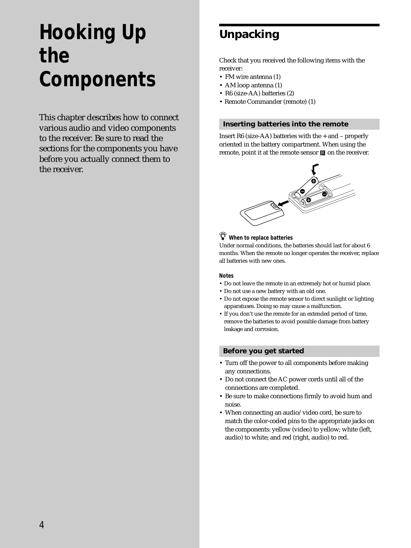## <span id="page-3-0"></span>**Hooking Up the Components**

This chapter describes how to connect various audio and video components to the receiver. Be sure to read the sections for the components you have before you actually connect them to the receiver.

## **Unpacking**

Check that you received the following items with the receiver:

- FM wire antenna (1)
- AM loop antenna (1)
- R6 (size-AA) batteries (2)
- Remote Commander (remote) (1)

#### **Inserting batteries into the remote**

Insert R6 (size-AA) batteries with the + and – properly oriented in the battery compartment. When using the remote, point it at the remote sensor  $\blacksquare$  on the receiver.



#### z **When to replace batteries**

Under normal conditions, the batteries should last for about 6 months. When the remote no longer operates the receiver, replace all batteries with new ones.

#### **Notes**

- Do not leave the remote in an extremely hot or humid place.
- Do not use a new battery with an old one.
- Do not expose the remote sensor to direct sunlight or lighting apparatuses. Doing so may cause a malfunction.
- If you don't use the remote for an extended period of time, remove the batteries to avoid possible damage from battery leakage and corrosion.

#### **Before you get started**

- Turn off the power to all components before making any connections.
- Do not connect the AC power cords until all of the connections are completed.
- Be sure to make connections firmly to avoid hum and noise.
- When connecting an audio/video cord, be sure to match the color-coded pins to the appropriate jacks on the components: yellow (video) to yellow; white (left, audio) to white; and red (right, audio) to red.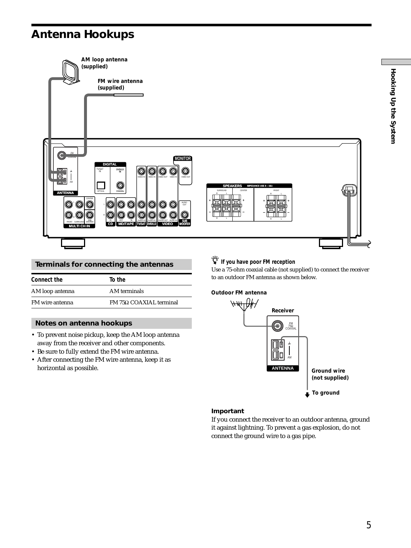## <span id="page-4-0"></span>**Antenna Hookups**



#### **Terminals for connecting the antennas**

| Connect the     | To the                  |
|-----------------|-------------------------|
| AM loop antenna | AM terminals            |
| FM wire antenna | FM 750 COAXIAL terminal |

#### **Notes on antenna hookups**

- To prevent noise pickup, keep the AM loop antenna away from the receiver and other components.
- Be sure to fully extend the FM wire antenna.
- After connecting the FM wire antenna, keep it as

#### z **If you have poor FM reception**

Use a 75-ohm coaxial cable (not supplied) to connect the receiver to an outdoor FM antenna as shown below.

#### **Outdoor FM antenna**



#### **Important**

If you connect the receiver to an outdoor antenna, ground it against lightning. To prevent a gas explosion, do not connect the ground wire to a gas pipe.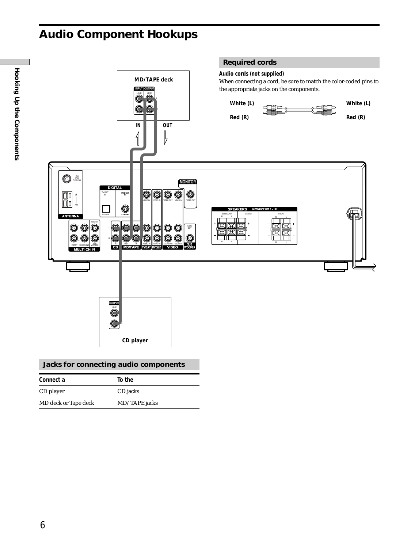## <span id="page-5-0"></span>**Audio Component Hookups**



#### **Jacks for connecting audio components**

| Connect a            | To the        |
|----------------------|---------------|
| CD player            | CD jacks      |
| MD deck or Tape deck | MD/TAPE jacks |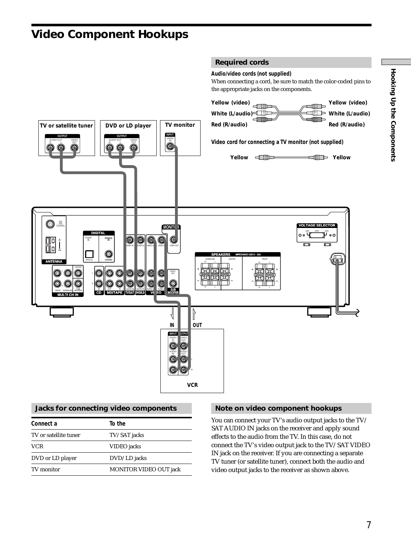## <span id="page-6-0"></span>**Video Component Hookups**



| <b>SUCKS TOP CONTROLLING VIGCO CONTROLLONGS</b> |              |  |
|-------------------------------------------------|--------------|--|
| Connect a                                       | To the       |  |
| TV or satellite tuner                           | TV/SAT jacks |  |
|                                                 |              |  |

| <b>VCR</b>                                  | VIDEO jacks  |
|---------------------------------------------|--------------|
| DVD or LD player                            | DVD/LD jacks |
| <b>MONITOR VIDEO OUT jack</b><br>TV monitor |              |

#### **Note on video component hookups**

You can connect your TV's audio output jacks to the TV/ SAT AUDIO IN jacks on the receiver and apply sound effects to the audio from the TV. In this case, do not connect the TV's video output jack to the TV/SAT VIDEO IN jack on the receiver. If you are connecting a separate TV tuner (or satellite tuner), connect both the audio and video output jacks to the receiver as shown above.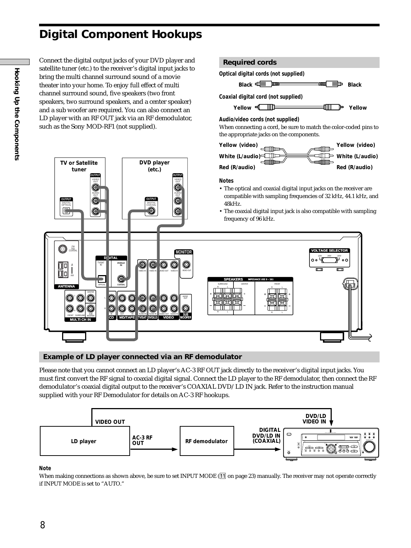## <span id="page-7-0"></span>**Digital Component Hookups**

Connect the digital output jacks of your DVD player and satellite tuner (etc.) to the receiver's digital input jacks to bring the multi channel surround sound of a movie theater into your home. To enjoy full effect of multi channel surround sound, five speakers (two front speakers, two surround speakers, and a center speaker) and a sub woofer are required. You can also connect an LD player with an RF OUT jack via an RF demodulator, such as the Sony MOD-RF1 (not supplied).

> VIDEO OUT AUDIO OUT

DIGITAL OPTICAL **OUTPUT**

 $\overline{C}$ 

**MULTI CH IN**

SURROUND R

FRONT

**ANTENNA** AM

FM 75Ω COAXIAL

O)

Mia

l∏n

**OUTPUT**

**TV or Satellite tuner**



FRONT

R L

R L

SURROUND CENTER

R L

R L

#### **Example of LD player connected via an RF demodulator**

**CD MD/TAPE MD/TAPE VIDEO**

**TV/SAT**

WOOFER IN OUT IN AUDIO IN AUDIO IN AUDIO OUT

6 วิ F 6

6 6

**DIGITAL**

ි

 $\widehat{\circ}$ 

**DVD/LD IN**

**COAXIAL**

TV/SAT

OPTICAL

CENTER

DIGITAL COAXIAL **OUTPUT**

Ĉ

วิ

**(etc.)**

Please note that you cannot connect an LD player's AC-3 RF OUT jack directly to the receiver's digital input jacks. You must first convert the RF signal to coaxial digital signal. Connect the LD player to the RF demodulator, then connect the RF demodulator's coaxial digital output to the receiver's COAXIAL DVD/LD IN jack. Refer to the instruction manual supplied with your RF Demodulator for details on AC-3 RF hookups.

AUDIO OUT

AUDIO IN

**DVD/LD VIDEO** WOOFER



**Note**

When making connections as shown above, be sure to set INPUT MODE  $(1)$  on page 23) manually. The receiver may not operate correctly if INPUT MODE is set to "AUTO."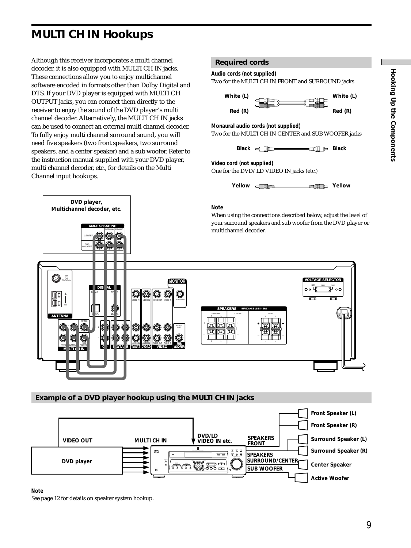# **Hooking Up the Components Hooking Up the Components**

## <span id="page-8-0"></span>**MULTI CH IN Hookups**

Although this receiver incorporates a multi channel decoder, it is also equipped with MULTI CH IN jacks. These connections allow you to enjoy multichannel software encoded in formats other than Dolby Digital and DTS. If your DVD player is equipped with MULTI CH OUTPUT jacks, you can connect them directly to the receiver to enjoy the sound of the DVD player's multi channel decoder. Alternatively, the MULTI CH IN jacks can be used to connect an external multi channel decoder. To fully enjoy multi channel surround sound, you will need five speakers (two front speakers, two surround speakers, and a center speaker) and a sub woofer. Refer to the instruction manual supplied with your DVD player, multi channel decoder, etc., for details on the Multi Channel input hookups.

SURROUND

FRONT

**MULTI CH OUTPUT**

CENTER

**DVD player, Multichannel decoder, etc.**

SUB

### **Required cords Audio cords (not supplied)** Two for the MULTI CH IN FRONT and SURROUND jacks **White (L) White (L)** Red (R) Red (R) **Monaural audio cords (not supplied)** Two for the MULTI CH IN CENTER and SUB WOOFER jacks **Black Black Video cord (not supplied)** One for the DVD/LD VIDEO IN jacks (etc.) **Yellow Yellow**

#### **Note**

When using the connections described below, adjust the level of your surround speakers and sub woofer from the DVD player or multichannel decoder.



#### **Example of a DVD player hookup using the MULTI CH IN jacks**



#### **Note**

See page 12 for details on speaker system hookup.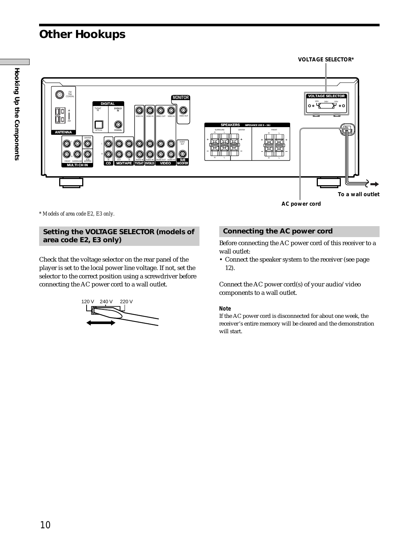## <span id="page-9-0"></span>**Other Hookups**



**AC power cord**

*\* Models of area code E2, E3 only.*

#### **Setting the VOLTAGE SELECTOR (models of area code E2, E3 only)**

Check that the voltage selector on the rear panel of the player is set to the local power line voltage. If not, set the selector to the correct position using a screwdriver before connecting the AC power cord to a wall outlet.



#### **Connecting the AC power cord**

Before connecting the AC power cord of this receiver to a wall outlet:

• Connect the speaker system to the receiver (see page 12).

Connect the AC power cord(s) of your audio/video components to a wall outlet.

#### **Note**

If the AC power cord is disconnected for about one week, the receiver's entire memory will be cleared and the demonstration will start.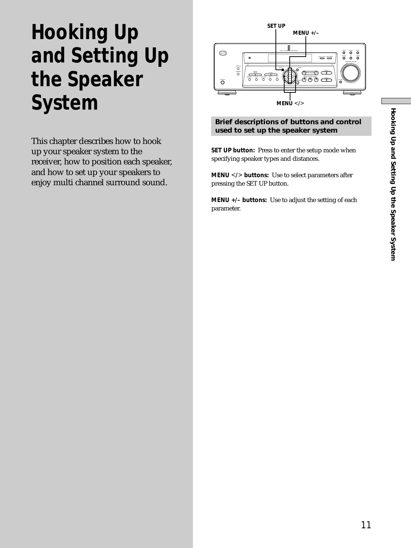## <span id="page-10-0"></span>**Hooking Up and Setting Up the Speaker System**

This chapter describes how to hook up your speaker system to the receiver, how to position each speaker, and how to set up your speakers to enjoy multi channel surround sound.



#### **Brief descriptions of buttons and control used to set up the speaker system**

**SET UP button:** Press to enter the setup mode when specifying speaker types and distances.

**MENU </>>** buttons: Use to select parameters after pressing the SET UP button.

**MENU +/– buttons:** Use to adjust the setting of each parameter.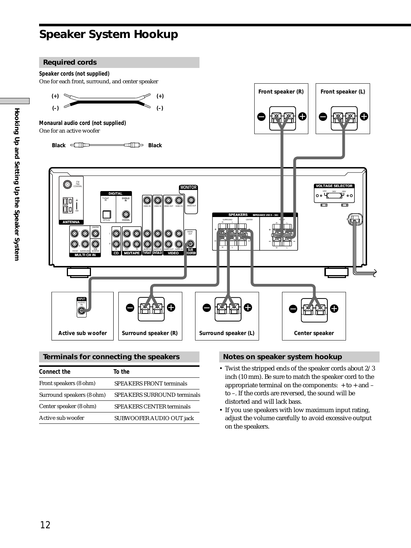## <span id="page-11-0"></span>**Speaker System Hookup**



#### **Terminals for connecting the speakers**

| To the                             |
|------------------------------------|
| <b>SPEAKERS FRONT terminals</b>    |
| <b>SPEAKERS SURROUND terminals</b> |
| <b>SPEAKERS CENTER terminals</b>   |
| SUBWOOFER AUDIO OUT jack           |
|                                    |

#### **Notes on speaker system hookup**

- Twist the stripped ends of the speaker cords about 2/3 inch (10 mm). Be sure to match the speaker cord to the appropriate terminal on the components:  $+$  to  $+$  and  $$ to –. If the cords are reversed, the sound will be distorted and will lack bass.
- If you use speakers with low maximum input rating, adjust the volume carefully to avoid excessive output on the speakers.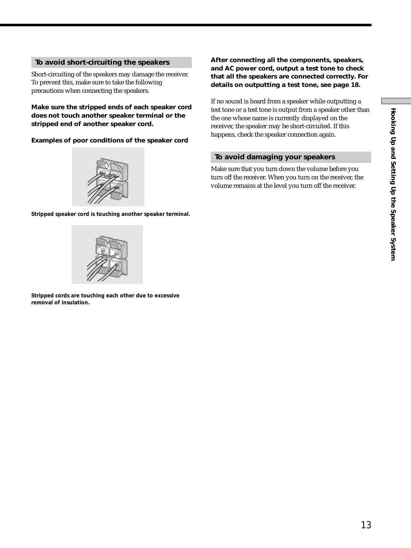#### **To avoid short-circuiting the speakers**

Short-circuiting of the speakers may damage the receiver. To prevent this, make sure to take the following precautions when connecting the speakers.

**Make sure the stripped ends of each speaker cord does not touch another speaker terminal or the stripped end of another speaker cord.**

**Examples of poor conditions of the speaker cord**



**Stripped speaker cord is touching another speaker terminal.**



**Stripped cords are touching each other due to excessive removal of insulation.**

**After connecting all the components, speakers, and AC power cord, output a test tone to check that all the speakers are connected correctly. For details on outputting a test tone, see page 18.**

If no sound is heard from a speaker while outputting a test tone or a test tone is output from a speaker other than the one whose name is currently displayed on the receiver, the speaker may be short-circuited. If this happens, check the speaker connection again.

#### **To avoid damaging your speakers**

Make sure that you turn down the volume before you turn off the receiver. When you turn on the receiver, the volume remains at the level you turn off the receiver.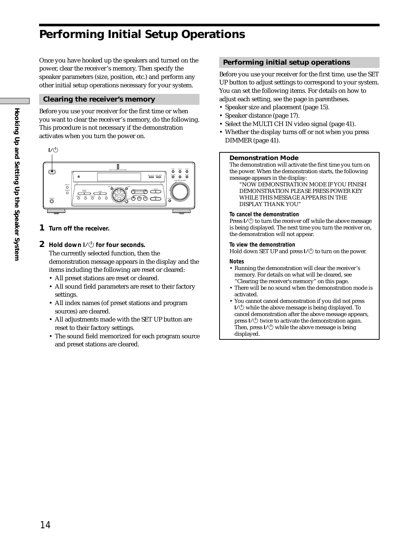## <span id="page-13-0"></span>**Performing Initial Setup Operations**

Once you have hooked up the speakers and turned on the power, clear the receiver's memory. Then specify the speaker parameters (size, position, etc.) and perform any other initial setup operations necessary for your system.

#### **Clearing the receiver's memory**

Before you use your receiver for the first time or when you want to clear the receiver's memory, do the following. This procedure is not necessary if the demonstration activates when you turn the power on.



- **1 Turn off the receiver.**
- **2 Hold down I/** $\bigcup$  **for four seconds.** The currently selected function, then the demonstration message appears in the display and the items including the following are reset or cleared:
	- All preset stations are reset or cleared.
	- All sound field parameters are reset to their factory settings.
	- All index names (of preset stations and program sources) are cleared.
	- All adjustments made with the SET UP button are reset to their factory settings.
	- The sound field memorized for each program source and preset stations are cleared.

#### **Performing initial setup operations**

Before you use your receiver for the first time, use the SET UP button to adjust settings to correspond to your system. You can set the following items. For details on how to adjust each setting, see the page in parentheses.

- Speaker size and placement (page 15).
- Speaker distance (page 17).
- Select the MULTI CH IN video signal (page 41).
- Whether the display turns off or not when you press DIMMER (page 41).

#### **Demonstration Mode**

The demonstration will activate the first time you turn on the power. When the demonstration starts, the following message appears in the display:

"NOW DEMONSTRATION MODE IF YOU FINISH DEMONSTRATION PLEASE PRESS POWER KEY WHILE THIS MESSAGE APPEARS IN THE DISPLAY THANK YOU"

#### **To cancel the demonstration**

Press  $\frac{1}{1}$  to turn the receiver off while the above message is being displayed. The next time you turn the receiver on, the demonstration will not appear.

**To view the demonstration**

Hold down SET UP and press  $I/\bigcup$  to turn on the power. **Notes**

- Running the demonstration will clear the receiver's memory. For details on what will be cleared, see "Clearing the receiver's memory" on this page.
- There will be no sound when the demonstration mode is activated.
- You cannot cancel demonstration if you did not press  $1/\sqrt{1}$  while the above message is being displayed. To cancel demonstration after the above message appears, press  $I/\bigcup$  twice to activate the demonstration again. Then, press  $I/\bigcirc$  while the above message is being displayed.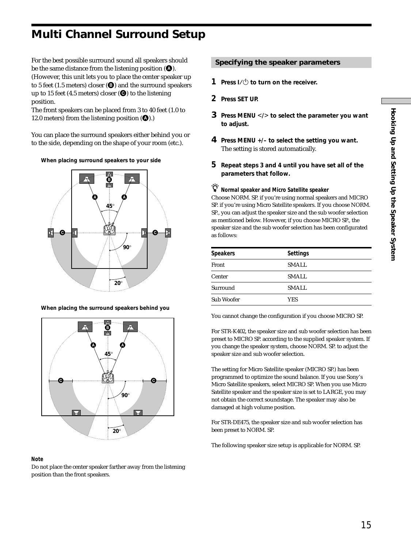## <span id="page-14-0"></span>**Multi Channel Surround Setup**

For the best possible surround sound all speakers should be the same distance from the listening position  $\mathbf{\odot}$ . (However, this unit lets you to place the center speaker up to 5 feet (1.5 meters) closer  $\Theta$ ) and the surround speakers up to 15 feet (4.5 meters) closer  $\left( \bigodot \right)$  to the listening position.

The front speakers can be placed from 3 to 40 feet (1.0 to 12.0 meters) from the listening position  $(\bigcirc$ .)

You can place the surround speakers either behind you or to the side, depending on the shape of your room (etc.).

**When placing surround speakers to your side**



**When placing the surround speakers behind you**



#### **Note**

Do not place the center speaker farther away from the listening position than the front speakers.

#### **Specifying the speaker parameters**

- **1** Press  $I/\psi$  to turn on the receiver.
- **2 Press SET UP.**
- **3** Press MENU </> to select the parameter you want **to adjust.**
- **4 Press MENU +/– to select the setting you want.** The setting is stored automatically.
- **5 Repeat steps 3 and 4 until you have set all of the parameters that follow.**

#### $\widetilde{Q}'$  Normal speaker and Micro Satellite speaker

Choose NORM. SP. if you're using normal speakers and MICRO SP. if you're using Micro Satellite speakers. If you choose NORM. SP., you can adjust the speaker size and the sub woofer selection as mentioned below. However, if you choose MICRO SP., the speaker size and the sub woofer selection has been configurated as follows:

| <b>Speakers</b> | Settings     |  |
|-----------------|--------------|--|
| Front           | <b>SMALL</b> |  |
| Center          | SMALL.       |  |
| Surround        | <b>SMALL</b> |  |
| Sub Woofer      | <b>YES</b>   |  |

You cannot change the configuration if you choose MICRO SP.

For STR-K402, the speaker size and sub woofer selection has been preset to MICRO SP. according to the supplied speaker system. If you change the speaker system, choose NORM. SP. to adjust the speaker size and sub woofer selection.

The setting for Micro Satellite speaker (MICRO SP.) has been programmed to optimize the sound balance. If you use Sony's Micro Satellite speakers, select MICRO SP. When you use Micro Satellite speaker and the speaker size is set to LARGE, you may not obtain the correct soundstage. The speaker may also be damaged at high volume position.

For STR-DE475, the speaker size and sub woofer selection has been preset to NORM. SP.

The following speaker size setup is applicable for NORM. SP.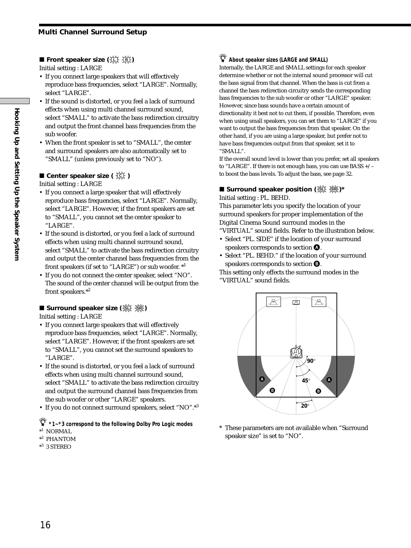#### $\blacksquare$  Front speaker size  $(\mathbb{R}^n)^{\mathbb{R}}$

Initial setting : LARGE

- If you connect large speakers that will effectively reproduce bass frequencies, select "LARGE". Normally, select "LARGE".
- If the sound is distorted, or you feel a lack of surround effects when using multi channel surround sound, select "SMALL" to activate the bass redirection circuitry and output the front channel bass frequencies from the sub woofer.
- When the front speaker is set to "SMALL", the center and surround speakers are also automatically set to "SMALL" (unless previously set to "NO").

#### ■ Center speaker size (

Initial setting : LARGE

- If you connect a large speaker that will effectively reproduce bass frequencies, select "LARGE". Normally, select "LARGE". However, if the front speakers are set to "SMALL", you cannot set the center speaker to "LARGE".
- If the sound is distorted, or you feel a lack of surround effects when using multi channel surround sound, select "SMALL" to activate the bass redirection circuitry and output the center channel bass frequencies from the front speakers (if set to "LARGE") or sub woofer. \*1
- If you do not connect the center speaker, select "NO". The sound of the center channel will be output from the front speakers.\*2

#### $\blacksquare$  **Surround speaker size (** $\frac{\sqrt{|\mathbf{S}\mathbf{L}|}}{\sqrt{|\mathbf{S}\mathbf{R}|}}$ **)**

Initial setting : LARGE

- If you connect large speakers that will effectively reproduce bass frequencies, select "LARGE". Normally, select "LARGE". However, if the front speakers are set to "SMALL", you cannot set the surround speakers to "LARGE".
- If the sound is distorted, or you feel a lack of surround effects when using multi channel surround sound, select "SMALL" to activate the bass redirection circuitry and output the surround channel bass frequencies from the sub woofer or other "LARGE" speakers.
- If you do not connect surround speakers, select "NO".\*3

z **\*1~\*3 correspond to the following Dolby Pro Logic modes**  $*$ <sup>1</sup> NORMAL

- \* 2 PHANTOM
- \* 3 3 STEREO

#### $\ddot{Q}$  About speaker sizes (LARGE and SMALL)

Internally, the LARGE and SMALL settings for each speaker determine whether or not the internal sound processor will cut the bass signal from that channel. When the bass is cut from a channel the bass redirection circuitry sends the corresponding bass frequencies to the sub woofer or other "LARGE" speaker. However, since bass sounds have a certain amount of directionality it best not to cut them, if possible. Therefore, even when using small speakers, you can set them to "LARGE" if you want to output the bass frequencies from that speaker. On the other hand, if you are using a large speaker, but prefer not to have bass frequencies output from that speaker, set it to "SMALL".

If the overall sound level is lower than you prefer, set all speakers to "LARGE". If there is not enough bass, you can use  $BASS + /$ to boost the bass levels. To adjust the bass, see page 32.

#### $\blacksquare$  **Surround speaker position (** $\frac{\sqrt{|\mathbf{S}_L|}}{\sqrt{|\mathbf{S}_L|}}$ **)\*** Initial setting : PL. BEHD.

This parameter lets you specify the location of your surround speakers for proper implementation of the Digital Cinema Sound surround modes in the

- "VIRTUAL" sound fields. Refer to the illustration below.
- Select "PL. SIDE" if the location of your surround speakers corresponds to section  $\bullet$ .
- Select "PL. BEHD." if the location of your surround speakers corresponds to section  $\mathbf{\Theta}$ .

This setting only effects the surround modes in the "VIRTUAL" sound fields.



\* These parameters are not available when "Surround speaker size" is set to "NO".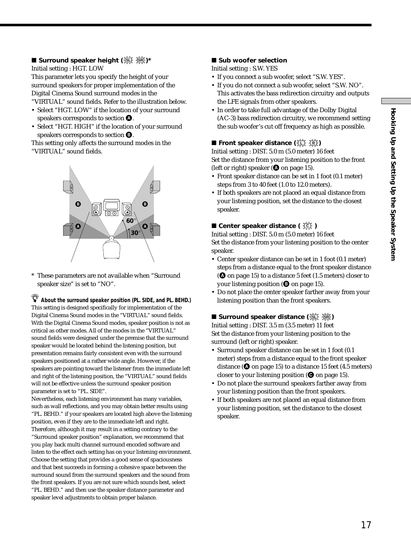#### ■ Surround speaker height  $(\frac{\hat{\mathbf{S}}\hat{\mathbf{S}}}{\hat{\mathbf{S}}})^*$

Initial setting : HGT. LOW

This parameter lets you specify the height of your surround speakers for proper implementation of the Digital Cinema Sound surround modes in the "VIRTUAL" sound fields. Refer to the illustration below.

- Select "HGT. LOW" if the location of your surround speakers corresponds to section A.
- Select "HGT. HIGH" if the location of your surround speakers corresponds to section B.

This setting only affects the surround modes in the "VIRTUAL" sound fields.



\* These parameters are not available when "Surround speaker size" is set to "NO".

 $\overleftrightarrow{\mathbf{F}}$  About the surround speaker position (PL. SIDE, and PL. BEHD.) This setting is designed specifically for implementation of the Digital Cinema Sound modes in the "VIRTUAL" sound fields. With the Digital Cinema Sound modes, speaker position is not as critical as other modes. All of the modes in the "VIRTUAL" sound fields were designed under the premise that the surround speaker would be located behind the listening position, but presentation remains fairly consistent even with the surround speakers positioned at a rather wide angle. However, if the speakers are pointing toward the listener from the immediate left and right of the listening position, the "VIRTUAL" sound fields will not be effective unless the surround speaker position parameter is set to "PL. SIDE".

Nevertheless, each listening environment has many variables, such as wall reflections, and you may obtain better results using "PL. BEHD." if your speakers are located high above the listening position, even if they are to the immediate left and right. Therefore, although it may result in a setting contrary to the "Surround speaker position" explanation, we recommend that you play back multi channel surround encoded software and listen to the effect each setting has on your listening environment. Choose the setting that provides a good sense of spaciousness and that best succeeds in forming a cohesive space between the surround sound from the surround speakers and the sound from the front speakers. If you are not sure which sounds best, select "PL. BEHD." and then use the speaker distance parameter and speaker level adjustments to obtain proper balance.

#### ■ Sub woofer selection

Initial setting : S.W. YES

- If you connect a sub woofer, select "S.W. YES".
- If you do not connect a sub woofer, select "S.W. NO". This activates the bass redirection circuitry and outputs the LFE signals from other speakers.
- In order to take full advantage of the Dolby Digital (AC-3) bass redirection circuitry, we recommend setting the sub woofer's cut off frequency as high as possible.

#### **E** Front speaker distance  $(\mathbf{R} \setminus \mathbf{R})$

Initial setting : DIST. 5.0 m (5.0 meter) 16 feet Set the distance from your listening position to the front (left or right) speaker ( $\bullet$  on page 15).

- Front speaker distance can be set in 1 foot (0.1 meter) steps from 3 to 40 feet (1.0 to 12.0 meters).
- If both speakers are not placed an equal distance from your listening position, set the distance to the closest speaker.

#### $\blacksquare$  Center speaker distance ( $\frac{\uparrow \uparrow \downarrow}{\downarrow \downarrow \downarrow}$ )

Initial setting : DIST. 5.0 m (5.0 meter) 16 feet Set the distance from your listening position to the center speaker.

- Center speaker distance can be set in 1 foot (0.1 meter) steps from a distance equal to the front speaker distance  $\overline{Q}$  on page 15) to a distance 5 feet (1.5 meters) closer to your listening position  $\Theta$  on page 15).
- Do not place the center speaker farther away from your listening position than the front speakers.

#### $\blacksquare$  **Surround speaker distance (** $\frac{\sqrt{|\mathbf{\hat{S}}\mathbf{L}|}}{\sqrt{|\mathbf{\hat{S}}\mathbf{R}|}}$ **)**

Initial setting : DIST. 3.5 m (3.5 meter) 11 feet Set the distance from your listening position to the surround (left or right) speaker.

- Surround speaker distance can be set in 1 foot (0.1 meter) steps from a distance equal to the front speaker distance ( $\Omega$  on page 15) to a distance 15 feet (4.5 meters) closer to your listening position  $(\bigcirc$  on page 15).
- Do not place the surround speakers farther away from your listening position than the front speakers.
- If both speakers are not placed an equal distance from your listening position, set the distance to the closest speaker.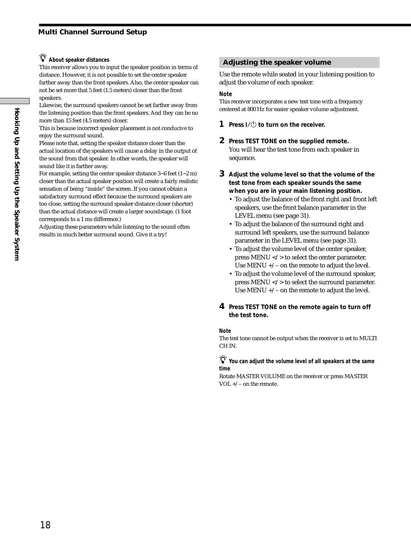#### z **About speaker distances**

This receiver allows you to input the speaker position in terms of distance. However, it is not possible to set the center speaker farther away than the front speakers. Also, the center speaker can not be set more that 5 feet (1.5 meters) closer than the front speakers.

Likewise, the surround speakers cannot be set farther away from the listening position than the front speakers. And they can be no more than 15 feet (4.5 meters) closer.

This is because incorrect speaker placement is not conducive to enjoy the surround sound.

Please note that, setting the speaker distance closer than the actual location of the speakers will cause a delay in the output of the sound from that speaker. In other words, the speaker will sound like it is farther away.

For example, setting the center speaker distance  $3~6$  feet  $(1~2~\text{m})$ closer than the actual speaker position will create a fairly realistic sensation of being "inside" the screen. If you cannot obtain a satisfactory surround effect because the surround speakers are too close, setting the surround speaker distance closer (shorter) than the actual distance will create a larger soundstage. (1 foot corresponds to a 1 ms difference.)

Adjusting these parameters while listening to the sound often results in much better surround sound. Give it a try!

#### **Adjusting the speaker volume**

Use the remote while seated in your listening position to adjust the volume of each speaker.

#### **Note**

This receiver incorporates a new test tone with a frequency centered at 800 Hz for easier speaker volume adjustment.

- **1** Press  $I/(1)$  to turn on the receiver.
- **2 Press TEST TONE on the supplied remote.** You will hear the test tone from each speaker in sequence.
- **3 Adjust the volume level so that the volume of the test tone from each speaker sounds the same when you are in your main listening position.**
	- To adjust the balance of the front right and front left speakers, use the front balance parameter in the LEVEL menu (see page 31).
	- To adjust the balance of the surround right and surround left speakers, use the surround balance parameter in the LEVEL menu (see page 31).
	- To adjust the volume level of the center speaker, press MENU </> to select the center parameter. Use MENU  $+/-$  on the remote to adjust the level.
	- To adjust the volume level of the surround speaker, press MENU </> to select the surround parameter. Use MENU  $+/-$  on the remote to adjust the level.
- **4 Press TEST TONE on the remote again to turn off the test tone.**

#### **Note**

The test tone cannot be output when the receiver is set to MULTI CH IN.

Y<sup>'</sup> You can adjust the volume level of all speakers at the same **time**

Rotate MASTER VOLUME on the receiver or press MASTER VOL +/– on the remote.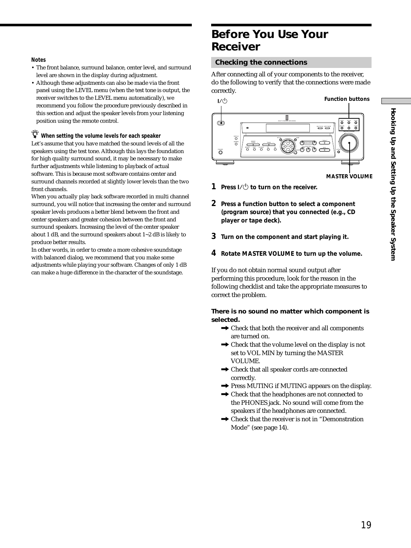#### <span id="page-18-0"></span>**Notes**

- The front balance, surround balance, center level, and surround level are shown in the display during adjustment.
- Although these adjustments can also be made via the front panel using the LEVEL menu (when the test tone is output, the receiver switches to the LEVEL menu automatically), we recommend you follow the procedure previously described in this section and adjust the speaker levels from your listening position using the remote control.

 $\overleftrightarrow{\mathbf{F}}$  When setting the volume levels for each speaker Let's assume that you have matched the sound levels of all the speakers using the test tone. Although this lays the foundation for high quality surround sound, it may be necessary to make further adjustments while listening to playback of actual software. This is because most software contains center and surround channels recorded at slightly lower levels than the two front channels.

When you actually play back software recorded in multi channel surround, you will notice that increasing the center and surround speaker levels produces a better blend between the front and center speakers and greater cohesion between the front and surround speakers. Increasing the level of the center speaker about 1 dB, and the surround speakers about 1~2 dB is likely to produce better results.

In other words, in order to create a more cohesive soundstage with balanced dialog, we recommend that you make some adjustments while playing your software. Changes of only 1 dB can make a huge difference in the character of the soundstage.

### **Before You Use Your Receiver**

#### **Checking the connections**

After connecting all of your components to the receiver, do the following to verify that the connections were made correctly.



**MASTER VOLUME**

- **1** Press  $I/(1)$  to turn on the receiver.
- **2 Press a function button to select a component (program source) that you connected (e.g., CD player or tape deck).**
- **3 Turn on the component and start playing it.**
- **4 Rotate MASTER VOLUME to turn up the volume.**

If you do not obtain normal sound output after performing this procedure, look for the reason in the following checklist and take the appropriate measures to correct the problem.

#### **There is no sound no matter which component is selected.**

- $\rightarrow$  Check that both the receiver and all components are turned on.
- $\rightarrow$  Check that the volume level on the display is not set to VOL MIN by turning the MASTER VOLUME.
- $\rightarrow$  Check that all speaker cords are connected correctly.
- $\rightarrow$  Press MUTING if MUTING appears on the display.
- $\rightarrow$  Check that the headphones are not connected to the PHONES jack. No sound will come from the speakers if the headphones are connected.
- → Check that the receiver is not in "Demonstration Mode" (see page 14).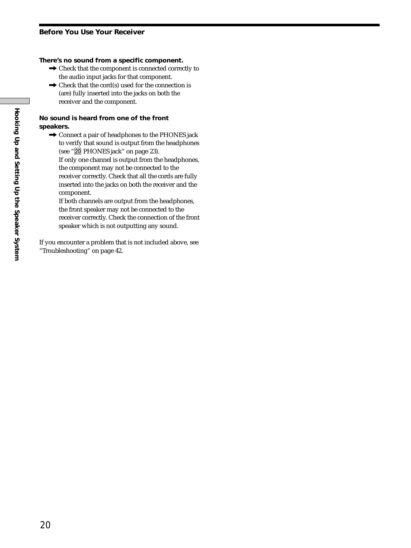#### **There's no sound from a specific component.**

- $\rightarrow$  Check that the component is connected correctly to the audio input jacks for that component.
- $\rightarrow$  Check that the cord(s) used for the connection is (are) fully inserted into the jacks on both the receiver and the component.

#### **No sound is heard from one of the front speakers.**

**→ Connect a pair of headphones to the PHONES jack** to verify that sound is output from the headphones (see " $\overline{20}$  PHONES jack" on page 23).

If only one channel is output from the headphones, the component may not be connected to the receiver correctly. Check that all the cords are fully inserted into the jacks on both the receiver and the component.

If both channels are output from the headphones, the front speaker may not be connected to the receiver correctly. Check the connection of the front speaker which is not outputting any sound.

If you encounter a problem that is not included above, see "Troubleshooting" on page 42.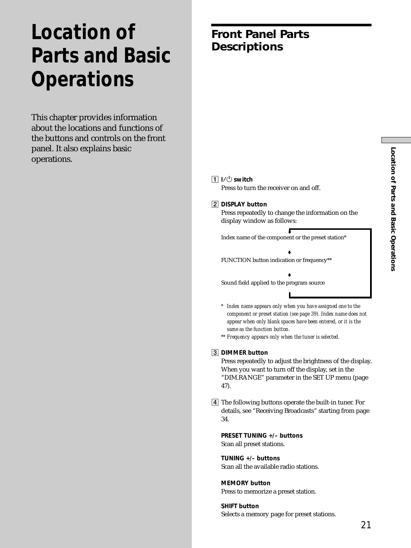## <span id="page-20-0"></span>**Location of Parts and Basic Operations**

This chapter provides information about the locations and functions of the buttons and controls on the front panel. It also explains basic operations.

### **Front Panel Parts Descriptions**

#### 1 I/ $\uparrow$  switch

Press to turn the receiver on and off.

#### 2 **DISPLAY button**

Press repeatedly to change the information on the display window as follows:

v

v

Index name of the component or the preset station\* v

FUNCTION button indication or frequency\*\*

Sound field applied to the program source

- *\* Index name appears only when you have assigned one to the component or preset station (see page 39). Index name does not appear when only blank spaces have been entered, or it is the same as the function button.*
- *\*\* Frequency appears only when the tuner is selected.*

#### 3 **DIMMER button**

Press repeatedly to adjust the brightness of the display. When you want to turn off the display, set in the "DIM.RANGE" parameter in the SET UP menu (page 47).

4 The following buttons operate the built-in tuner. For details, see "Receiving Broadcasts" starting from page 34.

**PRESET TUNING +/– buttons** Scan all preset stations.

**TUNING +/– buttons** Scan all the available radio stations.

**MEMORY button** Press to memorize a preset station.

**SHIFT button** Selects a memory page for preset stations.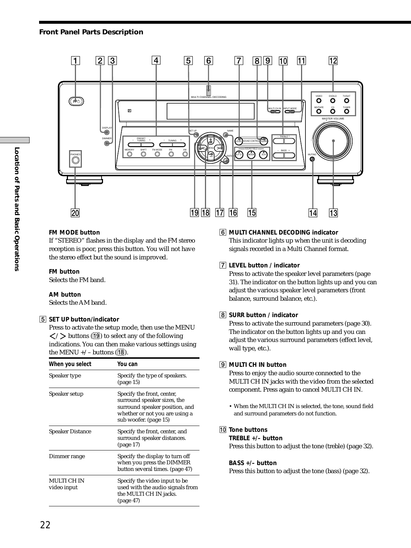#### **Front Panel Parts Description**



#### **FM MODE button**

If "STEREO" flashes in the display and the FM stereo reception is poor, press this button. You will not have the stereo effect but the sound is improved.

#### **FM button**

Selects the FM band.

#### **AM button**

Selects the AM band.

#### 5 **SET UP button/indicator**

Press to activate the setup mode, then use the MENU  $\langle \rangle$  buttons (19) to select any of the following indications. You can then make various settings using the MENU  $+/-$  buttons (18).

| When you select            | You can                                                                                                                                                |  |
|----------------------------|--------------------------------------------------------------------------------------------------------------------------------------------------------|--|
| Speaker type               | Specify the type of speakers.<br>(page 15)                                                                                                             |  |
| Speaker setup              | Specify the front, center,<br>surround speaker sizes, the<br>surround speaker position, and<br>whether or not you are using a<br>sub woofer. (page 15) |  |
| <b>Speaker Distance</b>    | Specify the front, center, and<br>surround speaker distances.<br>(page 17)                                                                             |  |
| Dimmer range               | Specify the display to turn off<br>when you press the DIMMER<br>button several times. (page 47)                                                        |  |
| MULTI CH IN<br>video input | Specify the video input to be.<br>used with the audio signals from<br>the MULTI CH IN jacks.<br>(page 47)                                              |  |

6 **MULTI CHANNEL DECODING indicator** This indicator lights up when the unit is decoding signals recorded in a Multi Channel format.

#### 7 **LEVEL button / indicator**

Press to activate the speaker level parameters (page 31). The indicator on the button lights up and you can adjust the various speaker level parameters (front balance, surround balance, etc.).

#### 8 **SURR button / indicator**

Press to activate the surround parameters (page 30). The indicator on the button lights up and you can adjust the various surround parameters (effect level, wall type, etc.).

#### 9 **MULTI CH IN button**

Press to enjoy the audio source connected to the MULTI CH IN jacks with the video from the selected component. Press again to cancel MULTI CH IN.

• When the MULTI CH IN is selected, the tone, sound field and surround parameters do not function.

#### 0 **Tone buttons**

#### **TREBLE +/– button**

Press this button to adjust the tone (treble) (page 32).

#### **BASS +/– button**

Press this button to adjust the tone (bass) (page 32).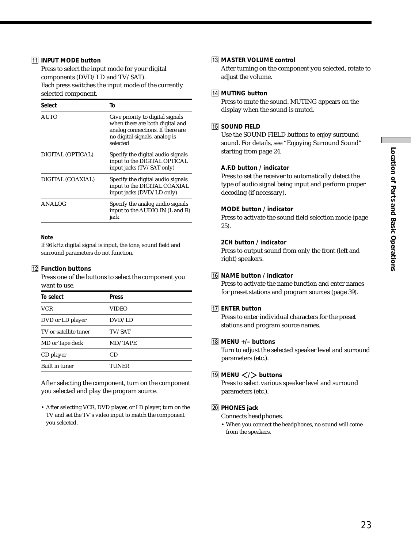#### qa **INPUT MODE button**

Press to select the input mode for your digital components (DVD/LD and TV/SAT). Each press switches the input mode of the currently selected component.

| Select            | Tο                                                                                                                                                   |
|-------------------|------------------------------------------------------------------------------------------------------------------------------------------------------|
| <b>AUTO</b>       | Give priority to digital signals<br>when there are both digital and<br>analog connections. If there are<br>no digital signals, analog is<br>selected |
| DIGITAL (OPTICAL) | Specify the digital audio signals<br>input to the DIGITAL OPTICAL<br>input jacks (TV/SAT only)                                                       |
| DIGITAL (COAXIAL) | Specify the digital audio signals<br>input to the DIGITAL COAXIAL<br>input jacks (DVD/LD only)                                                       |
| ANALOG            | Specify the analog audio signals<br>input to the AUDIO IN (L and R)<br>jack                                                                          |

#### **Note**

If 96 kHz digital signal is input, the tone, sound field and surround parameters do not function.

#### **12 Function buttons**

Press one of the buttons to select the component you want to use.

| To select             | Press   |
|-----------------------|---------|
| <b>VCR</b>            | VIDEO   |
| DVD or LD player      | DVD/LD  |
| TV or satellite tuner | TV/SAT  |
| MD or Tape deck       | MD/TAPE |
| CD player             | CD      |
| <b>Built in tuner</b> | TUNER   |

After selecting the component, turn on the component you selected and play the program source.

• After selecting VCR, DVD player, or LD player, turn on the TV and set the TV's video input to match the component you selected.

#### **13 MASTER VOLUME control**

After turning on the component you selected, rotate to adjust the volume.

#### **14 MUTING button**

Press to mute the sound. MUTING appears on the display when the sound is muted.

#### **15 SOUND FIELD**

Use the SOUND FIELD buttons to enjoy surround sound. For details, see "Enjoying Surround Sound" starting from page 24.

#### **A.F.D button / indicator**

Press to set the receiver to automatically detect the type of audio signal being input and perform proper decoding (if necessary).

#### **MODE button / indicator**

Press to activate the sound field selection mode (page 25).

#### **2CH button / indicator**

Press to output sound from only the front (left and right) speakers.

#### **16 NAME button / indicator**

Press to activate the name function and enter names for preset stations and program sources (page 39).

#### **17 ENTER button**

Press to enter individual characters for the preset stations and program source names.

#### qk **MENU +/– buttons**

Turn to adjust the selected speaker level and surround parameters (etc.).

19 MENU  $\lt/$  buttons

Press to select various speaker level and surround parameters (etc.).

#### 20 PHONES jack

Connects headphones.

• When you connect the headphones, no sound will come from the speakers.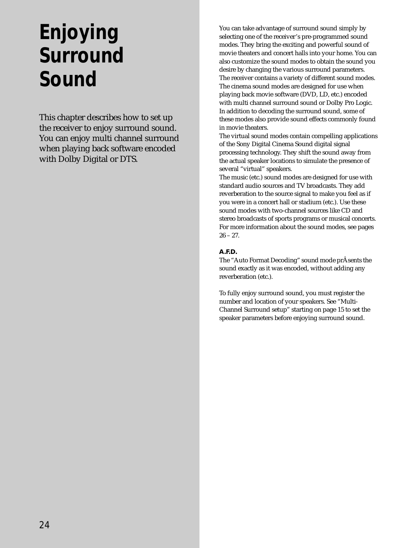## <span id="page-23-0"></span>**Enjoying Surround Sound**

This chapter describes how to set up the receiver to enjoy surround sound. You can enjoy multi channel surround when playing back software encoded with Dolby Digital or DTS.

You can take advantage of surround sound simply by selecting one of the receiver's pre-programmed sound modes. They bring the exciting and powerful sound of movie theaters and concert halls into your home. You can also customize the sound modes to obtain the sound you desire by changing the various surround parameters. The receiver contains a variety of different sound modes. The cinema sound modes are designed for use when playing back movie software (DVD, LD, etc.) encoded with multi channel surround sound or Dolby Pro Logic. In addition to decoding the surround sound, some of these modes also provide sound effects commonly found in movie theaters.

The virtual sound modes contain compelling applications of the Sony Digital Cinema Sound digital signal processing technology. They shift the sound away from the actual speaker locations to simulate the presence of several "virtual" speakers.

The music (etc.) sound modes are designed for use with standard audio sources and TV broadcasts. They add reverberation to the source signal to make you feel as if you were in a concert hall or stadium (etc.). Use these sound modes with two-channel sources like CD and stereo broadcasts of sports programs or musical concerts. For more information about the sound modes, see pages  $26 - 27.$ 

#### **A.F.D.**

The "Auto Format Decoding" sound mode prÂsents the sound exactly as it was encoded, without adding any reverberation (etc.).

To fully enjoy surround sound, you must register the number and location of your speakers. See "Multi-Channel Surround setup" starting on page 15 to set the speaker parameters before enjoying surround sound.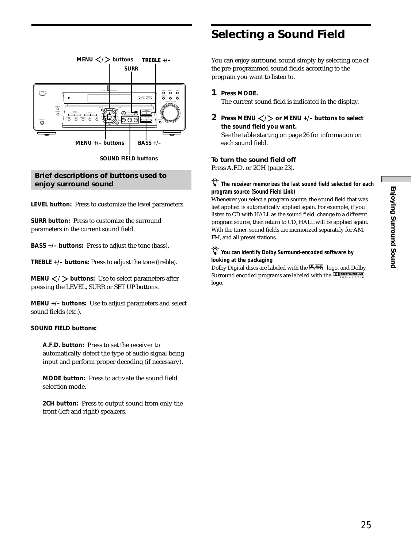<span id="page-24-0"></span>

#### **Brief descriptions of buttons used to enjoy surround sound**

**LEVEL button:** Press to customize the level parameters.

**SURR button:** Press to customize the surround parameters in the current sound field.

**BASS +/– buttons:** Press to adjust the tone (bass).

**TREBLE +/– buttons:** Press to adjust the tone (treble).

**MENU**  $\langle \rangle$  buttons: Use to select parameters after pressing the LEVEL, SURR or SET UP buttons.

**MENU +/– buttons:** Use to adjust parameters and select sound fields (etc.).

#### **SOUND FIELD buttons:**

**A.F.D. button:** Press to set the receiver to automatically detect the type of audio signal being input and perform proper decoding (if necessary).

**MODE button:** Press to activate the sound field selection mode.

**2CH button:** Press to output sound from only the front (left and right) speakers.

### **Selecting a Sound Field**

You can enjoy surround sound simply by selecting one of the pre-programmed sound fields according to the program you want to listen to.

**1 Press MODE.**

The current sound field is indicated in the display.

**2** Press MENU  $\lt/$  or MENU +/- buttons to select **the sound field you want.** See the table starting on page 26 for information on each sound field.

#### **To turn the sound field off**

Press A.F.D. or 2CH (page 23).

 $\ddot{Q}$  The receiver memorizes the last sound field selected for each **program source (Sound Field Link)**

Whenever you select a program source, the sound field that was last applied is automatically applied again. For example, if you listen to CD with HALL as the sound field, change to a different program source, then return to CD, HALL will be applied again. With the tuner, sound fields are memorized separately for AM, FM, and all preset stations.

Y<sup>'</sup> You can identify Dolby Surround-encoded software by **looking at the packaging**

Dolby Digital discs are labeled with the  $\frac{D\left[\text{D}_0\text{total}\right]}{D\left(\text{D}_0\text{total}\right)}$  logo, and Dolby Surround encoded programs are labeled with the DO **DRIG OCLEV SURROUND** logo.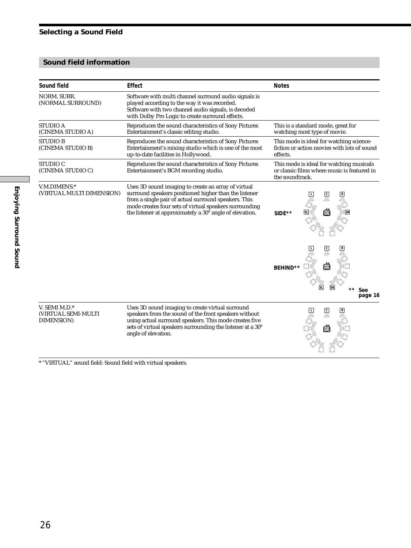#### **Sound field information**

| Sound field                                                | <b>Effect</b>                                                                                                                                                                                                                                                                             | <b>Notes</b>                                                                                               |
|------------------------------------------------------------|-------------------------------------------------------------------------------------------------------------------------------------------------------------------------------------------------------------------------------------------------------------------------------------------|------------------------------------------------------------------------------------------------------------|
| NORM. SURR.<br>(NORMAL SURROUND)                           | Software with multi channel surround audio signals is<br>played according to the way it was recorded.<br>Software with two channel audio signals, is decoded<br>with Dolby Pro Logic to create surround effects.                                                                          |                                                                                                            |
| <b>STUDIO A</b><br>(CINEMA STUDIO A)                       | Reproduces the sound characteristics of Sony Pictures<br>Entertainment's classic editing studio.                                                                                                                                                                                          | This is a standard mode, great for<br>watching most type of movie.                                         |
| <b>STUDIO B</b><br>(CINEMA STUDIO B)                       | Reproduces the sound characteristics of Sony Pictures<br>Entertainment's mixing studio which is one of the most<br>up-to-date facilities in Hollywood.                                                                                                                                    | This mode is ideal for watching science-<br>fiction or action movies with lots of sound<br>effects.        |
| <b>STUDIO C</b><br>(CINEMA STUDIO C)                       | Reproduces the sound characteristics of Sony Pictures<br>Entertainment's BGM recording studio.                                                                                                                                                                                            | This mode is ideal for watching musicals<br>or classic films where music is featured in<br>the soundtrack. |
| V.M.DIMENS.*<br>(VIRTUAL MULTI DIMENSION)                  | Uses 3D sound imaging to create an array of virtual<br>surround speakers positioned higher than the listener<br>from a single pair of actual surround speakers. This<br>mode creates four sets of virtual speakers surrounding<br>the listener at approximately a 30° angle of elevation. | SIDE**                                                                                                     |
|                                                            |                                                                                                                                                                                                                                                                                           | <b>BEHIND**</b><br>See<br>page 16                                                                          |
| V. SEMI M.D.*<br>(VIRTUAL SEMI-MULTI<br><b>DIMENSION</b> ) | Uses 3D sound imaging to create virtual surround<br>speakers from the sound of the front speakers without<br>using actual surround speakers. This mode creates five<br>sets of virtual speakers surrounding the listener at a 30°<br>angle of elevation.                                  |                                                                                                            |

\* "VIRTUAL" sound field: Sound field with virtual speakers.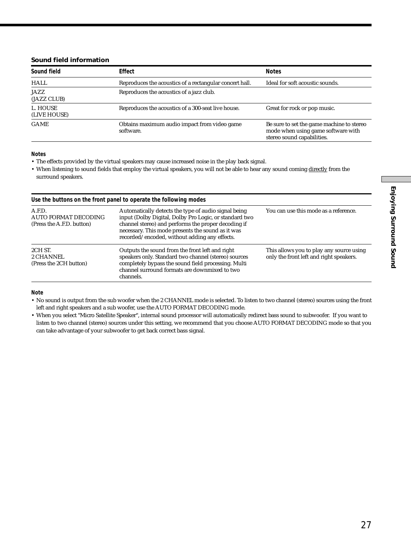#### **Sound field information**

| Sound field              | Effect                                                    | <b>Notes</b>                                                                                                  |
|--------------------------|-----------------------------------------------------------|---------------------------------------------------------------------------------------------------------------|
| HALL                     | Reproduces the acoustics of a rectangular concert hall.   | Ideal for soft acoustic sounds.                                                                               |
| JAZZ<br>(JAZZ CLUB)      | Reproduces the acoustics of a jazz club.                  |                                                                                                               |
| L. HOUSE<br>(LIVE HOUSE) | Reproduces the acoustics of a 300-seat live house.        | Great for rock or pop music.                                                                                  |
| GAME                     | Obtains maximum audio impact from video game<br>software. | Be sure to set the game machine to stereo<br>mode when using game software with<br>stereo sound capabilities. |

**Notes**

• The effects provided by the virtual speakers may cause increased noise in the play back signal.

• When listening to sound fields that employ the virtual speakers, you will not be able to hear any sound coming directly from the surround speakers.

| Use the buttons on the front panel to operate the following modes |                                                                                                                                                                                                                                                                             |                                                                                     |
|-------------------------------------------------------------------|-----------------------------------------------------------------------------------------------------------------------------------------------------------------------------------------------------------------------------------------------------------------------------|-------------------------------------------------------------------------------------|
| A.F.D.<br>AUTO FORMAT DECODING<br>(Press the A.F.D. button)       | Automatically detects the type of audio signal being<br>input (Dolby Digital, Dolby Pro Logic, or standard two<br>channel stereo) and performs the proper decoding if<br>necessary. This mode presents the sound as it was<br>recorded/encoded, without adding any effects. | You can use this mode as a reference.                                               |
| 2CH ST.<br>2 CHANNEL<br>(Press the 2CH button)                    | Outputs the sound from the front left and right<br>speakers only. Standard two channel (stereo) sources<br>completely bypass the sound field processing. Multi<br>channel surround formats are downmixed to two<br>channels.                                                | This allows you to play any source using<br>only the front left and right speakers. |

**Note**

• No sound is output from the sub woofer when the 2 CHANNEL mode is selected. To listen to two channel (stereo) sources using the front left and right speakers and a sub woofer, use the AUTO FORMAT DECODING mode.

• When you select "Micro Satellite Speaker", internal sound processor will automatically redirect bass sound to subwoofer. If you want to listen to two channel (stereo) sources under this setting, we recommend that you choose AUTO FORMAT DECODING mode so that you can take advantage of your subwoofer to get back correct bass signal.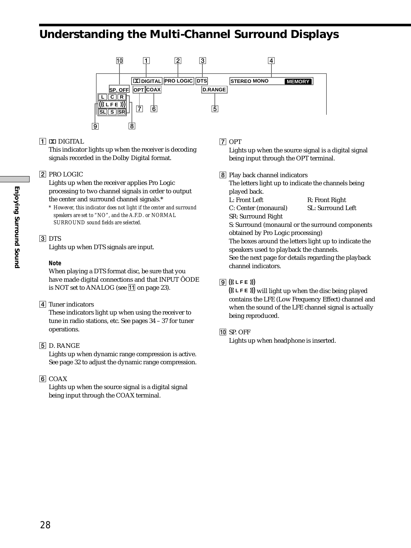## <span id="page-27-0"></span>**Understanding the Multi-Channel Surround Displays**



#### $1$  on digital

This indicator lights up when the receiver is decoding signals recorded in the Dolby Digital format.

#### 2 PRO LOGIC

Lights up when the receiver applies Pro Logic processing to two channel signals in order to output the center and surround channel signals.\*

*\* However, this indicator does not light if the center and surround speakers are set to "NO", and the A.F.D. or NORMAL SURROUND sound fields are selected.*

#### 3 DTS

Lights up when DTS signals are input.

#### **Note**

When playing a DTS format disc, be sure that you have made digital connections and that INPUT ÕODE is NOT set to ANALOG (see  $\overline{11}$  on page 23).

#### 4 Tuner indicators

These indicators light up when using the receiver to tune in radio stations, etc. See pages 34 – 37 for tuner operations.

#### 5 D. RANGE

Lights up when dynamic range compression is active. See page 32 to adjust the dynamic range compression.

#### 6 COAX

Lights up when the source signal is a digital signal being input through the COAX terminal.

#### 7 OPT

Lights up when the source signal is a digital signal being input through the OPT terminal.

8 Play back channel indicators

The letters light up to indicate the channels being played back. L: Front Left R: Front Right

- C: Center (monaural) SL: Surround Left
- SR: Surround Right S: Surround (monaural or the surround components obtained by Pro Logic processing)

The boxes around the letters light up to indicate the speakers used to playback the channels. See the next page for details regarding the playback

channel indicators.

#### 9 **L F E**

**L F E** will light up when the disc being played contains the LFE (Low Frequency Effect) channel and when the sound of the LFE channel signal is actually being reproduced.

#### 10 SP. OFF

Lights up when headphone is inserted.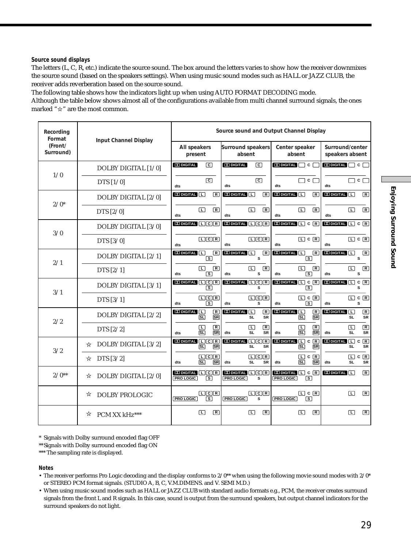**Source sound displays**

The letters (L, C, R, etc.) indicate the source sound. The box around the letters varies to show how the receiver downmixes the source sound (based on the speakers settings). When using music sound modes such as HALL or JAZZ CLUB, the receiver adds reverberation based on the source sound.

The following table shows how the indicators light up when using AUTO FORMAT DECODING mode.

Although the table below shows almost all of the configurations available from multi channel surround signals, the ones marked " $\star$ " are the most common.

| Recording<br>Format  | Input Channel Display       |                                          | Source sound and Output Channel Display        |                       |                                                |                       |                                                 |                                    |                                |                          |
|----------------------|-----------------------------|------------------------------------------|------------------------------------------------|-----------------------|------------------------------------------------|-----------------------|-------------------------------------------------|------------------------------------|--------------------------------|--------------------------|
| (Front/<br>Surround) |                             | All speakers<br>present                  |                                                | Surround speakers     | absent                                         |                       | Center speaker<br>absent                        | Surround/center<br>speakers absent |                                |                          |
| 1/0                  | DOLBY DIGITAL [1/0]         | <b>DO DIGITAL</b>                        | $\overline{\mathsf{c}}$                        | <b>DO DIGITAL</b>     | $\overline{\mathsf{c}}$                        |                       | $DI$ DIGITAL $\Box$ C                           | $DI$ DIGITAL $\Box$ C              |                                |                          |
|                      | DTS $[1/0]$                 | dts                                      | ୮ट।                                            | dts                   | $\overline{\mathsf{c}}$                        | dts                   | $c \Box$<br>П                                   | dts                                | ┌─┐                            | $c \Box$                 |
| $2/0*$               | DOLBY DIGITAL [2/0]         | <b>DI DIGITAL</b>                        | $\boxed{\mathsf{R}}$                           | <b>DO DIGITAL LA</b>  | $\boxed{\mathsf{R}}$                           | <b>DO DIGITAL LA</b>  | $\boxed{R}$                                     | <b>DO DIGITAL LA</b>               |                                | $\boxed{R}$              |
|                      | DTS $[2/0]$                 | dts                                      | 口<br>$\boxed{R}$                               | dts                   | 口<br>$\sqrt{R}$                                | dts                   | $\Box$<br>R                                     | dts                                | 吅                              | $\boxed{R}$              |
| 3/0                  | DOLBY DIGITAL [3/0]         | <b>DICIDIGITAL LICK DICIDIGITAL LICK</b> |                                                |                       |                                                |                       | <b>DIEDIGITAL</b> L C R                         | DIQDIGITAL L C R                   |                                |                          |
|                      | DTS $[3/0]$                 | dts                                      | L[C]R                                          | dts                   | $\Box$ C $\Box$                                | dts                   | $\boxed{L}$ C $\boxed{R}$                       | dts                                | $\Box$ $\Box$ $\Box$           |                          |
| 2/1                  | DOLBY DIGITAL [2/1]         | <b>DO DIGITAL ILI</b>                    | $\sqrt{R}$<br>$\sqrt{s}$                       | <b>DO DIGITAL THE</b> | $\sqrt{R}$<br>s                                | <b>DO DIGITAL LA</b>  | $\overline{R}$<br>ञि                            | <b>DO DIGITAL LA</b>               | s                              | $\sqrt{R}$               |
|                      | DTS $[2/1]$                 | dts                                      | $\sqrt{R}$<br>匸<br>$\sqrt{s}$                  | dts                   | $\sqrt{R}$<br>口<br>s                           | dts                   | $\sqrt{R}$<br>口<br>$\sqrt{s}$                   | dts                                | 工<br>s                         | $\sqrt{R}$               |
| 3/1                  | DOLBY DIGITAL [3/1]         | <b>DIGITAL LCR</b>                       | $\lceil s \rceil$                              |                       | <b>DIODIGITAL</b> LCR<br>S                     |                       | <b>DIDIGITAL</b> L C R<br>$\sqrt{s}$            | <b>DIODIGITAL</b> L C R            | s                              |                          |
|                      | DTS $[3/1]$                 | dts                                      | L[C]R<br>। डा                                  | dts                   | L[C]R<br>s                                     | dts                   | $\boxed{L}$ C $\boxed{R}$<br>। ऽ                | dts                                | $\boxed{L}$ C $\boxed{R}$<br>s |                          |
| 2/2                  | DOLBY DIGITAL [2/2]         | <b>DO DIGITAL LE</b>                     | $\boxed{\mathsf{R}}$<br><b>SR</b><br><b>SL</b> | <b>DO DIGITAL L</b>   | R<br><b>SR</b><br><b>SL</b>                    | <b>DIO DIGITAL L</b>  | $\boxed{\mathsf{R}}$<br><b>SL</b><br><b>SR</b>  | <b>DO DIGITAL ILI</b>              | SL                             | $\boxed{R}$<br><b>SR</b> |
|                      | DTS $[2/2]$                 | dts                                      | $\sqrt{\mathsf{R}}$<br>口<br> SL <br><b>SR</b>  | dts                   | 匸<br>$\sqrt{R}$<br><b>SL</b><br><b>SR</b>      | dts                   | $\overline{\mathsf{R}}$<br>┖<br>SI<br><b>SR</b> | dts                                | 工<br><b>SL</b>                 | $\sqrt{R}$<br><b>SR</b>  |
| 3/2                  | DOLBY DIGITAL [3/2]<br>☆    | <b>DI DIGITAL</b> LCR                    | <b>SL</b><br><b>SR</b>                         |                       | <b>DIDIGITAL</b> LCR<br><b>SR</b><br><b>SL</b> | <b>DODIGITAL II C</b> | $\sqrt{R}$<br>SL<br><b>SR</b>                   | <b>DO DIGITAL IL</b>               | С<br><b>SL</b>                 | $\sqrt{R}$<br><b>SR</b>  |
|                      | DTS $\left[3/2\right]$<br>☆ | dts                                      | ाटाह<br>$\overline{\text{s}}$<br><b>SR</b>     | dts                   | ा दाहि<br><b>SR</b><br><b>SL</b>               | dts                   | $\boxed{L}$ C $\boxed{R}$<br>Γsτ<br><b>SR</b>   | dts                                | 吅<br>C<br><b>SL</b>            | $\sqrt{R}$<br><b>SR</b>  |
| $2/0**$              | DOLBY DIGITAL [2/0]<br>☆    | <b>DODIGITAL LCR</b><br><b>PRO LOGIC</b> | ाड                                             | <b>PRO LOGIC</b>      | $D$ <b>IDIDIGITAL</b> $L$ $C$ $R$<br>s         | <b>PRO LOGIC</b>      | <b>DIODIGITAL</b> L C R<br>$\sqrt{s}$           | <b>DO DIGITAL <b>IL</b></b>        |                                | $\boxed{R}$              |
|                      | ☆<br><b>DOLBY PROLOGIC</b>  | <b>PRO LOGIC</b>                         | LCER<br>ाडा                                    | <b>PRO LOGIC</b>      | $\Box$ CR<br>s                                 | <b>PRO LOGIC</b>      | $\boxed{L}$ C $\boxed{R}$<br>$\sqrt{s}$         |                                    | 囗                              | $\sqrt{R}$               |
|                      | ☆<br>$PCM$ XX $kHz***$      |                                          | 工<br>$\lceil R \rceil$                         |                       | 工<br>R                                         |                       | 工<br>$\sqrt{R}$                                 |                                    | $\Box$                         | $\sqrt{R}$               |

\* Signals with Dolby surround encoded flag OFF

\*\*Signals with Dolby surround encoded flag ON

\*\*\* The sampling rate is displayed.

**Notes**

- The receiver performs Pro Logic decoding and the display conforms to  $2/0^{**}$  when using the following movie sound modes with  $2/0^*$ or STEREO PCM format signals. (STUDIO A, B, C, V.M.DIMENS. and V. SEMI M.D.)
- When using music sound modes such as HALL or JAZZ CLUB with standard audio formats e.g., PCM, the receiver creates surround signals from the front L and R signals. In this case, sound is output from the surround speakers, but output channel indicators for the surround speakers do not light.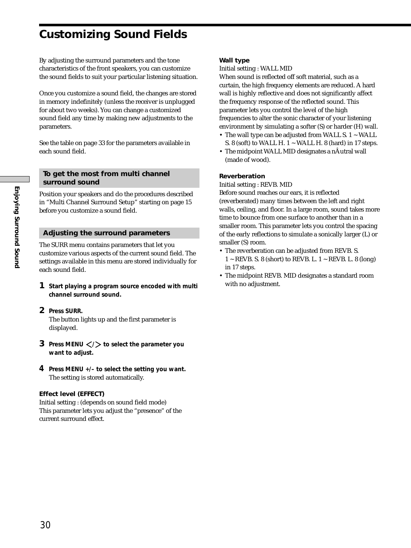## <span id="page-29-0"></span>**Customizing Sound Fields**

By adjusting the surround parameters and the tone characteristics of the front speakers, you can customize the sound fields to suit your particular listening situation.

Once you customize a sound field, the changes are stored in memory indefinitely (unless the receiver is unplugged for about two weeks). You can change a customized sound field any time by making new adjustments to the parameters.

See the table on page 33 for the parameters available in each sound field.

#### **To get the most from multi channel surround sound**

Position your speakers and do the procedures described in "Multi Channel Surround Setup" starting on page 15 before you customize a sound field.

#### **Adjusting the surround parameters**

The SURR menu contains parameters that let you customize various aspects of the current sound field. The settings available in this menu are stored individually for each sound field.

- **1 Start playing a program source encoded with multi channel surround sound.**
- **2 Press SURR.** The button lights up and the first parameter is displayed.
- **3** Press MENU  $\lt/$  to select the parameter you **want to adjust.**
- **4 Press MENU +/– to select the setting you want.** The setting is stored automatically.

#### **Effect level (EFFECT)**

Initial setting : (depends on sound field mode) This parameter lets you adjust the "presence" of the current surround effect.

#### **Wall type**

Initial setting : WALL MID

When sound is reflected off soft material, such as a curtain, the high frequency elements are reduced. A hard wall is highly reflective and does not significantly affect the frequency response of the reflected sound. This parameter lets you control the level of the high frequencies to alter the sonic character of your listening environment by simulating a softer (S) or harder (H) wall.

- The wall type can be adjusted from WALL S.  $1 \sim \text{WALL}$ S. 8 (soft) to WALL H.  $1 \sim$  WALL H. 8 (hard) in 17 steps.
- The midpoint WALL MID designates a nÂutral wall (made of wood).

#### **Reverberation**

Initial setting : REVB. MID

Before sound reaches our ears, it is reflected (reverberated) many times between the left and right walls, ceiling, and floor. In a large room, sound takes more time to bounce from one surface to another than in a smaller room. This parameter lets you control the spacing of the early reflections to simulate a sonically larger (L) or smaller (S) room.

- The reverberation can be adjusted from REVB. S.  $1 \sim REVB$ . S. 8 (short) to REVB. L.  $1 \sim REVB$ . L. 8 (long) in 17 steps.
- The midpoint REVB. MID designates a standard room with no adjustment.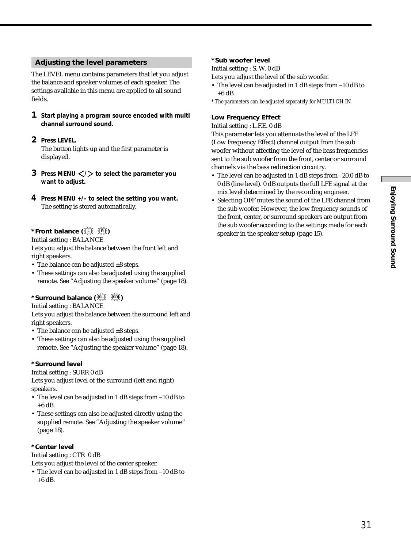#### **Adjusting the level parameters**

The LEVEL menu contains parameters that let you adjust the balance and speaker volumes of each speaker. The settings available in this menu are applied to all sound fields.

- **1 Start playing a program source encoded with multi channel surround sound.**
- **2 Press LEVEL.** The button lights up and the first parameter is displayed.
- **3** Press MENU  $\lt/$  to select the parameter you **want to adjust.**
- **4 Press MENU +/– to select the setting you want.** The setting is stored automatically.

#### **\*Front balance ( <sup>L</sup> <sup>R</sup> )**

Initial setting : BALANCE

Lets you adjust the balance between the front left and right speakers.

- The balance can be adjusted ±8 steps.
- These settings can also be adjusted using the supplied remote. See "Adjusting the speaker volume" (page 18).

#### $*$  Surround balance  $(\frac{1}{2} \sin \frac{1}{2} \sin \frac{1}{2})$

Initial setting : BALANCE

Lets you adjust the balance between the surround left and right speakers.

- The balance can be adjusted  $\pm 8$  steps.
- These settings can also be adjusted using the supplied remote. See "Adjusting the speaker volume" (page 18).

#### **\*Surround level**

Initial setting : SURR 0 dB

Lets you adjust level of the surround (left and right) speakers.

- The level can be adjusted in 1 dB steps from –10 dB to +6 dB.
- These settings can also be adjusted directly using the supplied remote. See "Adjusting the speaker volume" (page 18).

#### **\*Center level**

Initial setting : CTR 0 dB

Lets you adjust the level of the center speaker.

• The level can be adjusted in 1 dB steps from –10 dB to  $+6$  dB.

#### **\*Sub woofer level**

Initial setting : S. W. 0 dB

Lets you adjust the level of the sub woofer.

- The level can be adjusted in 1 dB steps from –10 dB to +6 dB.
- *\* The parameters can be adjusted separately for MULTI CH IN.*

#### **Low Frequency Effect**

Initial setting : L.F.E. 0 dB

This parameter lets you attenuate the level of the LFE (Low Frequency Effect) channel output from the sub woofer without affecting the level of the bass frequencies sent to the sub woofer from the front, center or surround channels via the bass redirection circuitry.

- The level can be adjusted in 1 dB steps from –20.0 dB to 0 dB (line level). 0 dB outputs the full LFE signal at the mix level determined by the recording engineer.
- Selecting OFF mutes the sound of the LFE channel from the sub woofer. However, the low frequency sounds of the front, center, or surround speakers are output from the sub woofer according to the settings made for each speaker in the speaker setup (page 15).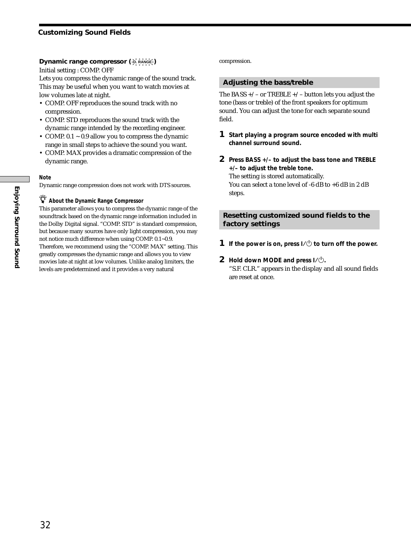#### **Customizing Sound Fields**

#### **Dynamic range compressor ( D. RANGE )**

Initial setting : COMP. OFF

Lets you compress the dynamic range of the sound track. This may be useful when you want to watch movies at low volumes late at night.

- COMP. OFF reproduces the sound track with no compression.
- COMP. STD reproduces the sound track with the dynamic range intended by the recording engineer.
- COMP. 0.1 ~ 0.9 allow you to compress the dynamic range in small steps to achieve the sound you want.
- COMP. MAX provides a dramatic compression of the dynamic range.

#### **Note**

Dynamic range compression does not work with DTS sources.

#### $\ddot{Q}$  About the Dynamic Range Compressor

This parameter allows you to compress the dynamic range of the soundtrack based on the dynamic range information included in the Dolby Digital signal. "COMP. STD" is standard compression, but because many sources have only light compression, you may not notice much difference when using COMP. 0.1~0.9. Therefore, we recommend using the "COMP. MAX" setting. This greatly compresses the dynamic range and allows you to view movies late at night at low volumes. Unlike analog limiters, the levels are predetermined and it provides a very natural

compression.

#### **Adjusting the bass/treble**

The BASS  $+/-$  or TREBLE  $+/-$  button lets you adjust the tone (bass or treble) of the front speakers for optimum sound. You can adjust the tone for each separate sound field.

- **1 Start playing a program source encoded with multi channel surround sound.**
- **2 Press BASS +/– to adjust the bass tone and TREBLE +/– to adjust the treble tone.** The setting is stored automatically. You can select a tone level of -6 dB to +6 dB in 2 dB steps.

#### **Resetting customized sound fields to the factory settings**

- **1** If the power is on, press  $I/\psi$  to turn off the power.
- **2 Hold down MODE and press**  $I/\psi$ **.** "S.F. CLR." appears in the display and all sound fields are reset at once.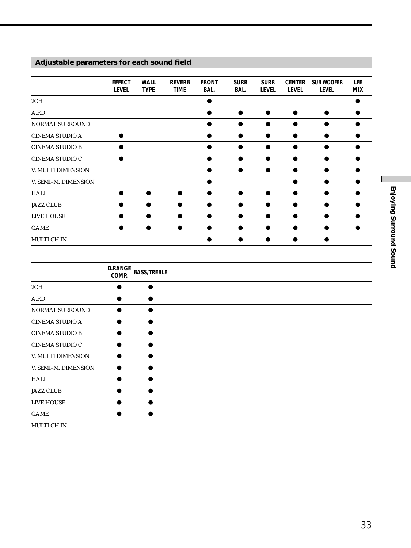#### **Adjustable parameters for each sound field**

|                        | <b>EFFECT</b> | <b>WALL</b> | <b>REVERB</b> | <b>FRONT</b> | <b>SURR</b> | <b>SURR</b> | <b>CENTER</b> | <b>SUB WOOFER</b> | <b>LFE</b> |  |
|------------------------|---------------|-------------|---------------|--------------|-------------|-------------|---------------|-------------------|------------|--|
|                        | LEVEL         | <b>TYPE</b> | <b>TIME</b>   | BAL.         | BAL.        | LEVEL       | Level         | LEVEL             | <b>MIX</b> |  |
| 2CH                    |               |             |               |              |             |             |               |                   |            |  |
| A.F.D.                 |               |             |               |              |             |             |               |                   |            |  |
| NORMAL SURROUND        |               |             |               |              |             |             |               |                   |            |  |
| <b>CINEMA STUDIO A</b> |               |             |               |              |             |             |               |                   |            |  |
| <b>CINEMA STUDIO B</b> |               |             |               |              |             |             |               |                   |            |  |
| CINEMA STUDIO C        |               |             |               |              |             |             |               |                   |            |  |
| V. MULTI DIMENSION     |               |             |               |              |             |             |               |                   |            |  |
| V. SEMI-M. DIMENSION   |               |             |               |              |             |             |               |                   |            |  |
| <b>HALL</b>            |               |             |               |              |             |             |               |                   |            |  |
| <b>JAZZ CLUB</b>       |               |             |               |              |             |             |               |                   |            |  |
| <b>LIVE HOUSE</b>      |               |             |               |              |             |             |               |                   |            |  |
| <b>GAME</b>            |               |             |               |              |             |             |               |                   |            |  |
| <b>MULTI CH IN</b>     |               |             |               |              |             |             |               |                   |            |  |
|                        |               |             |               |              |             |             |               |                   |            |  |

|                        | <b>D.RANGE</b><br>COMP. | <b>BASS/TREBLE</b> |
|------------------------|-------------------------|--------------------|
| 2CH                    |                         |                    |
| A.F.D.                 | O                       |                    |
| NORMAL SURROUND        | O                       | ٠                  |
| <b>CINEMA STUDIO A</b> | e                       |                    |
| <b>CINEMA STUDIO B</b> | ●                       |                    |
| CINEMA STUDIO C        | O                       | ٠                  |
| V. MULTI DIMENSION     | $\bullet$               | ●                  |
| V. SEMI-M. DIMENSION   |                         |                    |
| <b>HALL</b>            | Δ                       |                    |
| <b>JAZZ CLUB</b>       | n                       |                    |
| <b>LIVE HOUSE</b>      | D                       |                    |
| GAME                   | e                       | ●                  |
| <b>MULTI CH IN</b>     |                         |                    |
|                        |                         |                    |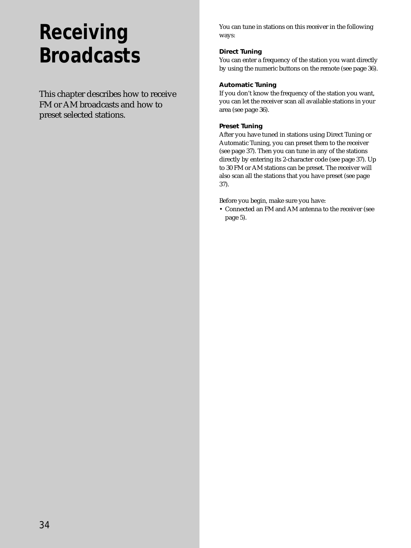## <span id="page-33-0"></span>**Receiving Broadcasts**

This chapter describes how to receive FM or AM broadcasts and how to preset selected stations.

You can tune in stations on this receiver in the following ways:

#### **Direct Tuning**

You can enter a frequency of the station you want directly by using the numeric buttons on the remote (see page 36).

#### **Automatic Tuning**

If you don't know the frequency of the station you want, you can let the receiver scan all available stations in your area (see page 36).

#### **Preset Tuning**

After you have tuned in stations using Direct Tuning or Automatic Tuning, you can preset them to the receiver (see page 37). Then you can tune in any of the stations directly by entering its 2-character code (see page 37). Up to 30 FM or AM stations can be preset. The receiver will also scan all the stations that you have preset (see page 37).

Before you begin, make sure you have:

• Connected an FM and AM antenna to the receiver (see page 5).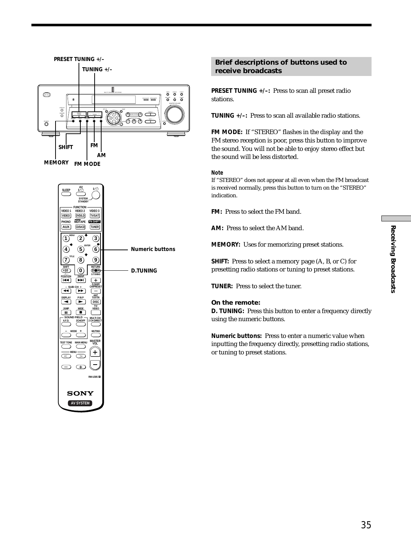

#### **Brief descriptions of buttons used to receive broadcasts**

**PRESET TUNING +/–:** Press to scan all preset radio stations.

**TUNING +/–:** Press to scan all available radio stations.

**FM MODE:** If "STEREO" flashes in the display and the FM stereo reception is poor, press this button to improve the sound. You will not be able to enjoy stereo effect but the sound will be less distorted.

#### **Note**

If "STEREO" does not appear at all even when the FM broadcast is received normally, press this button to turn on the "STEREO" indication.

**FM:** Press to select the FM band.

**AM:** Press to select the AM band.

**MEMORY:** Uses for memorizing preset stations.

**SHIFT:** Press to select a memory page (A, B, or C) for presetting radio stations or tuning to preset stations.

**TUNER:** Press to select the tuner.

#### **On the remote:**

**D. TUNING:** Press this button to enter a frequency directly using the numeric buttons.

**Numeric buttons:** Press to enter a numeric value when inputting the frequency directly, presetting radio stations, or tuning to preset stations.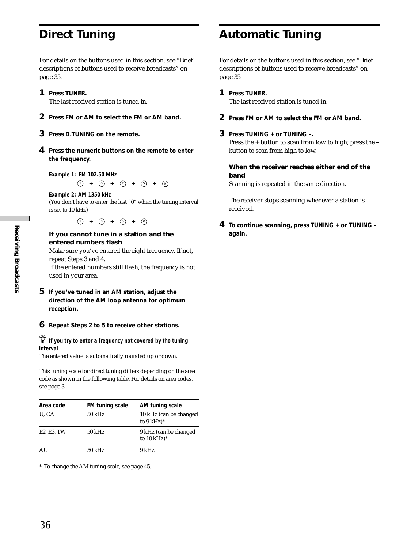## <span id="page-35-0"></span>**Direct Tuning**

For details on the buttons used in this section, see "Brief descriptions of buttons used to receive broadcasts" on page 35.

- **1 Press TUNER.** The last received station is tuned in.
- **2 Press FM or AM to select the FM or AM band.**
- **3 Press D.TUNING on the remote.**
- **4 Press the numeric buttons on the remote to enter the frequency.**

**Example 1: FM 102.50 MHz**

 $\widehat{1}$   $\rightarrow$   $\widehat{0}$   $\rightarrow$   $\widehat{2}$   $\rightarrow$   $\widehat{5}$   $\rightarrow$   $\widehat{0}$ 

#### **Example 2: AM 1350 kHz** (You don't have to enter the last "0" when the tuning interval is set to 10 kHz)

 $\widehat{1}$   $\rightarrow$   $\widehat{3}$   $\rightarrow$   $\widehat{5}$   $\rightarrow$   $\widehat{0}$ 

#### **If you cannot tune in a station and the entered numbers flash**

Make sure you've entered the right frequency. If not, repeat Steps 3 and 4.

If the entered numbers still flash, the frequency is not used in your area.

**5 If you've tuned in an AM station, adjust the direction of the AM loop antenna for optimum reception.**

#### **6 Repeat Steps 2 to 5 to receive other stations.**

 $\ddot{\mathbf{\hat{q}}}$  If you try to enter a frequency not covered by the tuning **interval**

The entered value is automatically rounded up or down.

This tuning scale for direct tuning differs depending on the area code as shown in the following table. For details on area codes, see page 3.

| Area code  | FM tuning scale | AM tuning scale                            |
|------------|-----------------|--------------------------------------------|
| U, CA      | $50$ kHz        | 10 kHz (can be changed<br>to $9$ kHz $)^*$ |
| E2, E3, TW | $50$ kHz        | 9 kHz (can be changed<br>to $10$ kHz $)^*$ |
| AU         | $50$ kHz        | $9$ kHz                                    |

\* To change the AM tuning scale, see page 45.

## **Automatic Tuning**

For details on the buttons used in this section, see "Brief descriptions of buttons used to receive broadcasts" on page 35.

- **1 Press TUNER.** The last received station is tuned in.
- **2 Press FM or AM to select the FM or AM band.**
- **3 Press TUNING + or TUNING –.** Press the + button to scan from low to high; press the – button to scan from high to low.

**When the receiver reaches either end of the band**

Scanning is repeated in the same direction.

The receiver stops scanning whenever a station is received.

**4 To continue scanning, press TUNING + or TUNING – again.**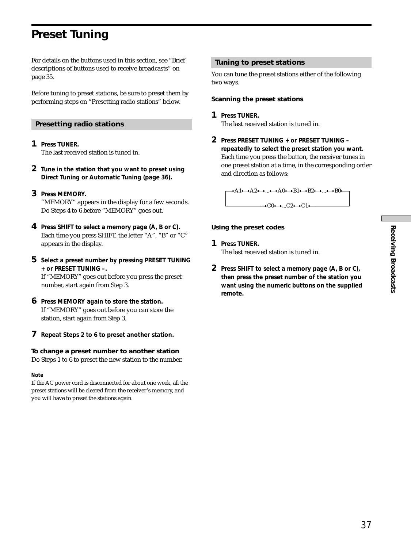## <span id="page-36-0"></span>**Preset Tuning**

For details on the buttons used in this section, see "Brief descriptions of buttons used to receive broadcasts" on page 35.

Before tuning to preset stations, be sure to preset them by performing steps on "Presetting radio stations" below.

#### **Presetting radio stations**

- **1 Press TUNER.** The last received station is tuned in.
- **2 Tune in the station that you want to preset using Direct Tuning or Automatic Tuning (page 36).**
- **3 Press MEMORY.** "MEMORY" appears in the display for a few seconds. Do Steps 4 to 6 before "MEMORY" goes out.
- **4 Press SHIFT to select a memory page (A, B or C).** Each time you press SHIFT, the letter "A", "B" or "C" appears in the display.
- **5 Select a preset number by pressing PRESET TUNING + or PRESET TUNING –.** If "MEMORY" goes out before you press the preset number, start again from Step 3.
- **6 Press MEMORY again to store the station.** If "MEMORY" goes out before you can store the station, start again from Step 3.
- **7 Repeat Steps 2 to 6 to preset another station.**

#### **To change a preset number to another station**

Do Steps 1 to 6 to preset the new station to the number.

#### **Note**

If the AC power cord is disconnected for about one week, all the preset stations will be cleared from the receiver's memory, and you will have to preset the stations again.

#### **Tuning to preset stations**

You can tune the preset stations either of the following two ways.

#### **Scanning the preset stations**

- **1 Press TUNER.** The last received station is tuned in.
- **2 Press PRESET TUNING + or PRESET TUNING – repeatedly to select the preset station you want.** Each time you press the button, the receiver tunes in one preset station at a time, in the corresponding order and direction as follows:

 $\rightarrow$ A1 $\leftarrow$ A2 $\leftarrow$ ... $\leftarrow$ A0 $\leftarrow$ B1 $\leftarrow$ B2 $\leftarrow$ ... $\leftarrow$ B0 $\leftarrow$  $-C0 \leftrightarrow C2 \leftrightarrow C1 \leftrightarrow$ 

#### **Using the preset codes**

- **1 Press TUNER.** The last received station is tuned in.
- **2 Press SHIFT to select a memory page (A, B or C), then press the preset number of the station you want using the numeric buttons on the supplied remote.**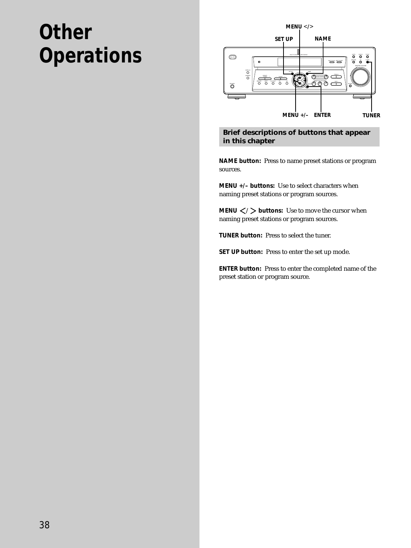## <span id="page-37-0"></span>**Other Operations**



**Brief descriptions of buttons that appear in this chapter**

**NAME button:** Press to name preset stations or program sources.

**MENU +/– buttons:** Use to select characters when naming preset stations or program sources.

**MENU**  $\langle \rangle$  buttons: Use to move the cursor when naming preset stations or program sources.

**TUNER button:** Press to select the tuner.

**SET UP button:** Press to enter the set up mode.

**ENTER button:** Press to enter the completed name of the preset station or program source.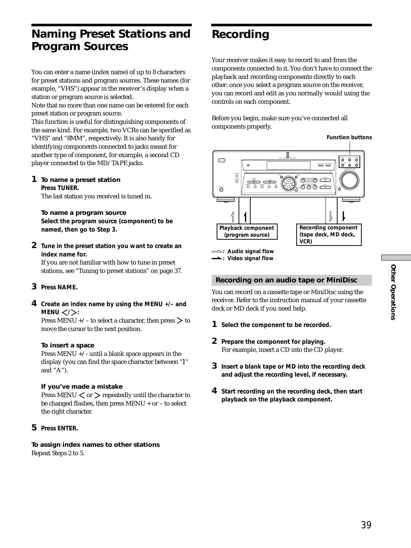### <span id="page-38-0"></span>**Naming Preset Stations and Program Sources**

You can enter a name (index name) of up to 8 characters for preset stations and program sources. These names (for example, "VHS") appear in the receiver's display when a station or program source is selected.

Note that no more than one name can be entered for each preset station or program source.

This function is useful for distinguishing components of the same kind. For example, two VCRs can be specified as "VHS" and "8MM", respectively. It is also handy for identifying components connected to jacks meant for another type of component, for example, a second CD player connected to the MD/TAPE jacks.

#### **1 To name a preset station Press TUNER.**

The last station you received is tuned in.

**To name a program source Select the program source (component) to be named, then go to Step 3.**

**2 Tune in the preset station you want to create an index name for.** If you are not familiar with how to tune in preset stations, see "Tuning to preset stations" on page 37.

- **3 Press NAME.**
- **4 Create an index name by using the MENU +/– and MENU**  $\lt$ **/>:**

Press MENU  $+/-$  to select a character, then press  $>$  to move the cursor to the next position.

#### **To insert a space**

Press MENU  $+/-$  until a blank space appears in the display (you can find the space character between "**]**" and "A").

#### **If you've made a mistake**

Press MENU  $\lt$  or  $>$  repeatedly until the character to be changed flashes, then press MENU + or – to select the right character.

#### **5 Press ENTER.**

#### **To assign index names to other stations** Repeat Steps 2 to 5.

## **Recording**

Your receiver makes it easy to record to and from the components connected to it. You don't have to connect the playback and recording components directly to each other: once you select a program source on the receiver, you can record and edit as you normally would using the controls on each component.

Before you begin, make sure you've connected all components properly.

**Function buttons**



#### **Recording on an audio tape or MiniDisc**

You can record on a cassette tape or MiniDisc using the receiver. Refer to the instruction manual of your cassette deck or MD deck if you need help.

- **1 Select the component to be recorded.**
- **2 Prepare the component for playing.** For example, insert a CD into the CD player.
- **3 Insert a blank tape or MD into the recording deck and adjust the recording level, if necessary.**
- **4 Start recording on the recording deck, then start playback on the playback component.**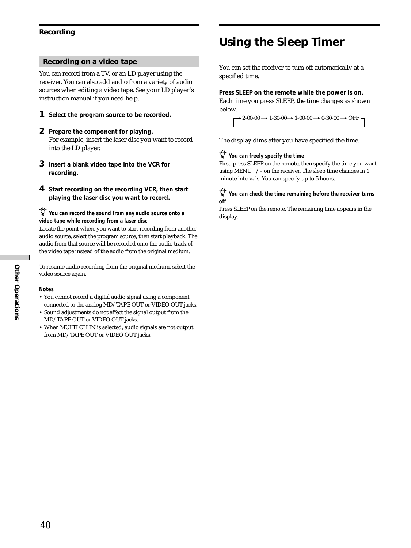#### <span id="page-39-0"></span>**Recording**

#### **Recording on a video tape**

You can record from a TV, or an LD player using the receiver. You can also add audio from a variety of audio sources when editing a video tape. See your LD player's instruction manual if you need help.

- **1 Select the program source to be recorded.**
- **2 Prepare the component for playing.** For example, insert the laser disc you want to record into the LD player.
- **3 Insert a blank video tape into the VCR for recording.**
- **4 Start recording on the recording VCR, then start playing the laser disc you want to record.**

 $\ddot{S}$  You can record the sound from any audio source onto a **video tape while recording from a laser disc**

Locate the point where you want to start recording from another audio source, select the program source, then start playback. The audio from that source will be recorded onto the audio track of the video tape instead of the audio from the original medium.

To resume audio recording from the original medium, select the video source again.

#### **Notes**

- You cannot record a digital audio signal using a component connected to the analog MD/TAPE OUT or VIDEO OUT jacks.
- Sound adjustments do not affect the signal output from the MD/TAPE OUT or VIDEO OUT jacks.
- When MULTI CH IN is selected, audio signals are not output from MD/TAPE OUT or VIDEO OUT jacks.

## **Using the Sleep Timer**

You can set the receiver to turn off automatically at a specified time.

#### **Press SLEEP on the remote while the power is on.** Each time you press SLEEP, the time changes as shown below.

 $\rightarrow$  2-00-00  $\rightarrow$  1-30-00 $\rightarrow$  1-00-00  $\rightarrow$  0-30-00  $\rightarrow$  OFF

The display dims after you have specified the time.

#### z **You can freely specify the time**

First, press SLEEP on the remote, then specify the time you want using MENU +/– on the receiver. The sleep time changes in 1 minute intervals. You can specify up to 5 hours.

You can check the time remaining before the receiver turns **off**

Press SLEEP on the remote. The remaining time appears in the display.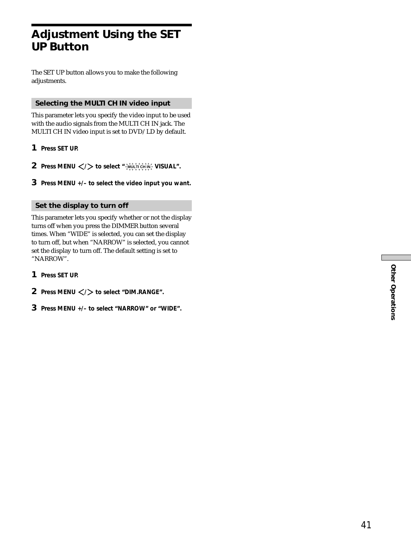## <span id="page-40-0"></span>**Adjustment Using the SET UP Button**

The SET UP button allows you to make the following adjustments.

#### **Selecting the MULTI CH IN video input**

This parameter lets you specify the video input to be used with the audio signals from the MULTI CH IN jack. The MULTI CH IN video input is set to DVD/LD by default.

- **1 Press SET UP.**
- **2** Press MENU  $\langle \cdot \rangle$  to select "  $\langle \psi \rangle$   $\psi$   $\psi$   $\langle \psi \rangle$  VISUAL".
- **3 Press MENU +/– to select the video input you want.**

#### **Set the display to turn off**

This parameter lets you specify whether or not the display turns off when you press the DIMMER button several times. When "WIDE" is selected, you can set the display to turn off, but when "NARROW" is selected, you cannot set the display to turn off. The default setting is set to "NARROW".

- **1 Press SET UP.**
- **2** Press MENU  $\lt/$  to select "DIM.RANGE".
- **3 Press MENU +/– to select "NARROW" or "WIDE".**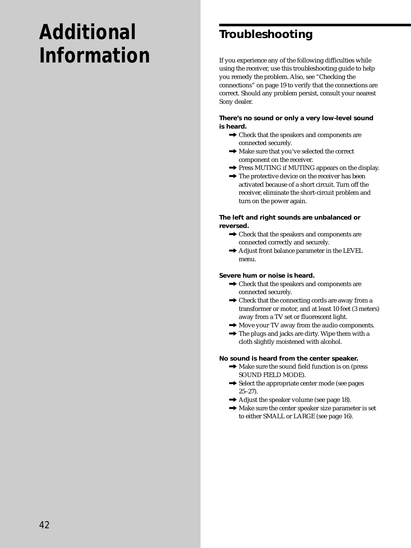## <span id="page-41-0"></span>**Additional Information**

## **Troubleshooting**

If you experience any of the following difficulties while using the receiver, use this troubleshooting guide to help you remedy the problem. Also, see "Checking the connections" on page 19 to verify that the connections are correct. Should any problem persist, consult your nearest Sony dealer.

#### **There's no sound or only a very low-level sound is heard.**

- $\rightarrow$  Check that the speakers and components are connected securely.
- $\rightarrow$  Make sure that you've selected the correct component on the receiver.
- **→ Press MUTING if MUTING appears on the display.**
- $\rightarrow$  The protective device on the receiver has been activated because of a short circuit. Turn off the receiver, eliminate the short-circuit problem and turn on the power again.

#### **The left and right sounds are unbalanced or reversed.**

- $\rightarrow$  Check that the speakers and components are connected correctly and securely.
- $\rightarrow$  Adjust front balance parameter in the LEVEL menu.

#### **Severe hum or noise is heard.**

- $\rightarrow$  Check that the speakers and components are connected securely.
- $\rightarrow$  Check that the connecting cords are away from a transformer or motor, and at least 10 feet (3 meters) away from a TV set or fluorescent light.
- $\rightarrow$  Move your TV away from the audio components.
- $\rightarrow$  The plugs and jacks are dirty. Wipe them with a cloth slightly moistened with alcohol.

#### **No sound is heard from the center speaker.**

- $\rightarrow$  Make sure the sound field function is on (press SOUND FIELD MODE).
- $\rightarrow$  Select the appropriate center mode (see pages 25–27).
- $\rightarrow$  Adjust the speaker volume (see page 18).
- $\rightarrow$  Make sure the center speaker size parameter is set to either SMALL or LARGE (see page 16).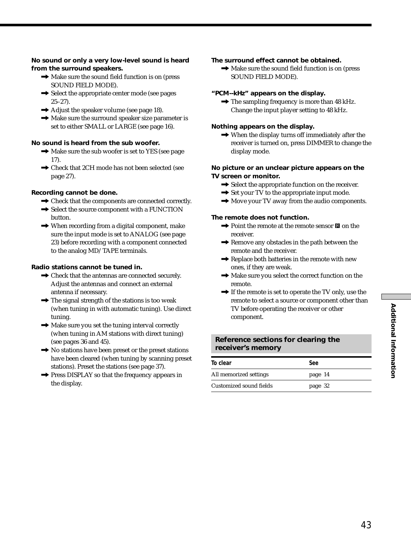- $\rightarrow$  Make sure the sound field function is on (press SOUND FIELD MODE).
- $\rightarrow$  Select the appropriate center mode (see pages 25–27).
- $\rightarrow$  Adjust the speaker volume (see page 18).
- $\rightarrow$  Make sure the surround speaker size parameter is set to either SMALL or LARGE (see page 16).

#### **No sound is heard from the sub woofer.**

- $\rightarrow$  Make sure the sub woofer is set to YES (see page 17).
- → Check that 2CH mode has not been selected (see page 27).

#### **Recording cannot be done.**

- $\rightarrow$  Check that the components are connected correctly.
- $\rightarrow$  Select the source component with a FUNCTION button.
- $\rightarrow$  When recording from a digital component, make sure the input mode is set to ANALOG (see page 23) before recording with a component connected to the analog MD/TAPE terminals.

#### **Radio stations cannot be tuned in.**

- $\rightarrow$  Check that the antennas are connected securely. Adjust the antennas and connect an external antenna if necessary.
- $\rightarrow$  The signal strength of the stations is too weak (when tuning in with automatic tuning). Use direct tuning.
- $\rightarrow$  Make sure you set the tuning interval correctly (when tuning in AM stations with direct tuning) (see pages 36 and 45).
- $\rightarrow$  No stations have been preset or the preset stations have been cleared (when tuning by scanning preset stations). Preset the stations (see page 37).
- $\rightarrow$  Press DISPLAY so that the frequency appears in the display.

#### **The surround effect cannot be obtained.**

 $\rightarrow$  Make sure the sound field function is on (press SOUND FIELD MODE).

#### **"PCM--kHz" appears on the display.**

 $\rightarrow$  The sampling frequency is more than 48 kHz. Change the input player setting to 48 kHz.

#### **Nothing appears on the display.**

 $\rightarrow$  When the display turns off immediately after the receiver is turned on, press DIMMER to change the display mode.

#### **No picture or an unclear picture appears on the TV screen or monitor.**

- $\rightarrow$  Select the appropriate function on the receiver.
- $\rightarrow$  Set your TV to the appropriate input mode.
- $\rightarrow$  Move your TV away from the audio components.

#### **The remote does not function.**

- $\rightarrow$  Point the remote at the remote sensor  $\blacksquare$  on the receiver.
- $\rightarrow$  Remove any obstacles in the path between the remote and the receiver.
- $\rightarrow$  Replace both batteries in the remote with new ones, if they are weak.
- $\rightarrow$  Make sure you select the correct function on the remote.
- $\rightarrow$  If the remote is set to operate the TV only, use the remote to select a source or component other than TV before operating the receiver or other component.

#### **Reference sections for clearing the receiver's memory**

| To clear                | See     |  |
|-------------------------|---------|--|
| All memorized settings  | page 14 |  |
| Customized sound fields | page 32 |  |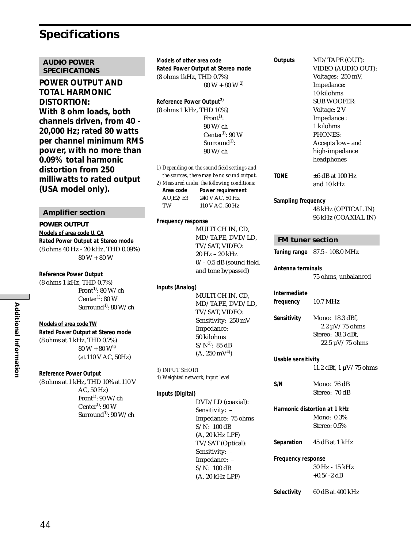## <span id="page-43-0"></span>**Specifications**

#### **AUDIO POWER SPECIFICATIONS**

**POWER OUTPUT AND TOTAL HARMONIC DISTORTION: With 8 ohm loads, both channels driven, from 40 - 20,000 Hz; rated 80 watts per channel minimum RMS power, with no more than 0.09% total harmonic distortion from 250 milliwatts to rated output (USA model only).**

#### **Amplifier section**

#### **POWER OUTPUT**

**Models of area code U, CA Rated Power Output at Stereo mode** (8 ohms 40 Hz - 20 kHz, THD 0.09%) 80 W + 80 W

**Reference Power Output** (8 ohms 1 kHz, THD 0.7%) Front<sup>1)</sup>: 80 W/ch  $Center<sup>1</sup>$ : 80 W Surround<sup>1)</sup>: 80 W/ch

**Models of area code TW Rated Power Output at Stereo mode** (8 ohms at 1 kHz, THD 0.7%)  $80 W + 80 W^{2}$ (at 110 V AC, 50Hz)

**Reference Power Output** (8 ohms at 1 kHz, THD 10% at 110 V  $AC$ , 50 Hz) Front<sup>1)</sup>: 90 W/ch  $Center<sup>1</sup>$ : 90 W Surround<sup>1)</sup>: 90 W/ch

**Models of other area code Rated Power Output at Stereo mode** (8 ohms 1kHz, THD 0.7%)  $80 W + 80 W^{2}$ 

**Reference Power Output2)** (8 ohms 1 kHz, THD 10%)  $Front<sup>1</sup>$ . 90 W/ch Center<sup>1)</sup>: 90 W Surround<sup>1)</sup>: 90 W/ch

*1) Depending on the sound field settings and the sources, there may be no sound output. 2) Measured under the following conditions:* **Area code Power requirement** AU,E2/E3 240 V AC, 50 Hz TW 110 V AC, 50 Hz

#### **Frequency response**

MULTI CH IN, CD, MD/TAPE, DVD/LD, TV/SAT, VIDEO: 20 Hz – 20 kHz  $0/- 0.5$  dB (sound field, and tone bypassed)

#### **Inputs (Analog)**

MULTI CH IN, CD, MD/TAPE, DVD/LD, TV/SAT, VIDEO: Sensitivity: 250 mV Impedance: 50 kilohms  $S/N^{3}$ : 85 dB  $(A, 250 \text{ mV}^4)$ 

*3) INPUT SHORT 4) Weighted network, input level*

#### **Inputs (Digital)**

DVD/LD (coaxial): Sensitivity: – Impedance: 75 ohms S/N: 100 dB (A, 20 kHz LPF) TV/SAT (Optical): Sensitivity: – Impedance: –  $S/N<sub>100</sub> dB$ (A, 20 kHz LPF)

**Outputs** MD/TAPE (OUT):

VIDEO (AUDIO OUT): Voltages: 250 mV, Impedance: 10 kilohms SUB WOOFER: Voltage: 2 V Impedance : 1 kilohms PHONES: Accepts low– and high-impedance headphones

**TONE** ±6 dB at 100 Hz and 10 kHz

**Sampling frequency** 48 kHz (OPTICAL IN) 96 kHz (COAXIAL IN)

#### **FM tuner section**

**Tuning range** 87.5 - 108.0 MHz

**Antenna terminals** 75 ohms, unbalanced

**Intermediate frequency** 10.7 MHz

**Sensitivity** Mono: 18.3 dBf, 2.2 µV/75 ohms Stereo: 38.3 dBf, 22.5 µV/75 ohms

**Usable sensitivity**

11.2 dBf, 1 µV/75 ohms

**S/N** Mono: 76 dB Stereo: 70 dB

**Harmonic distortion at 1 kHz** Mono: 0.3% Stereo: 0.5%

**Separation** 45 dB at 1 kHz

**Frequency response** 30 Hz - 15 kHz  $+0.5/-2$  dB

**Selectivity** 60 dB at 400 kHz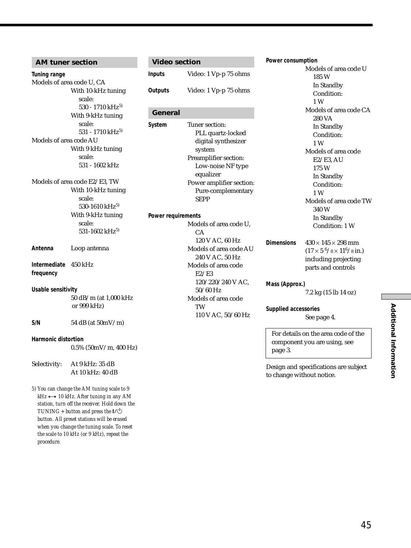| <b>AM tuner section</b>                |                                                                                                                                                                                                                                                                                                                                                 |
|----------------------------------------|-------------------------------------------------------------------------------------------------------------------------------------------------------------------------------------------------------------------------------------------------------------------------------------------------------------------------------------------------|
| Tuning range<br>Models of area code AU | Models of area code U, CA<br>With 10-kHz tuning<br>scale:<br>530 - 1710 $kHz^{5}$<br>With 9-kHz tuning<br>scale:<br>531 - 1710 $kHz^{5)}$<br>With 9 kHz tuning<br>scale:<br>531 - 1602 kHz                                                                                                                                                      |
|                                        | Models of area code E2/E3, TW<br>With 10-kHz tuning<br>scale:<br>530-1610 kHz <sup>5)</sup><br>With 9-kHz tuning<br>scale:<br>531-1602 kHz <sup>5)</sup>                                                                                                                                                                                        |
| Antenna                                | Loop antenna                                                                                                                                                                                                                                                                                                                                    |
| Intermediate 450 kHz<br>frequency      |                                                                                                                                                                                                                                                                                                                                                 |
| Usable sensitivity                     | 50 dB/m (at 1,000 kHz<br>or 999 kHz)                                                                                                                                                                                                                                                                                                            |
| S/N                                    | 54 dB (at $50mV/m$ )                                                                                                                                                                                                                                                                                                                            |
| Harmonic distortion                    | $0.5\%$ (50mV/m, 400 Hz)                                                                                                                                                                                                                                                                                                                        |
|                                        | Selectivity: At 9 kHz: 35 dB<br>At 10 kHz: 40 dB                                                                                                                                                                                                                                                                                                |
|                                        | 5) You can change the AM tuning scale to 9<br>kHz $\longleftrightarrow$ 10 kHz. After tuning in any AM<br>station, turn off the receiver. Hold down the<br>TUNING + button and press the $I/\bigcirc$<br>button. All preset stations will be erased<br>when you change the tuning scale. To reset<br>the scale to 10 kHz (or 9 kHz), repeat the |

*procedure.*

| Video: 1 Vp-p 75 ohms<br><b>Inputs</b><br>Video: 1 Vp-p 75 ohms<br>Outputs<br>General<br>Tuner section:<br>System<br>PLL quartz-locked<br>digital synthesizer<br>system<br>Preamplifier section:<br>Low-noise NF type<br>equalizer | Pα |
|------------------------------------------------------------------------------------------------------------------------------------------------------------------------------------------------------------------------------------|----|
|                                                                                                                                                                                                                                    |    |
|                                                                                                                                                                                                                                    |    |
|                                                                                                                                                                                                                                    |    |
| Power amplifier section:<br>Pure-complementary<br><b>SEPP</b>                                                                                                                                                                      |    |
| Power requirements                                                                                                                                                                                                                 |    |
| Models of area code U,<br>CA<br>120 V AC, 60 Hz<br>Models of area code AU<br>240 V AC, 50 Hz<br>Models of area code<br>E2/E3                                                                                                       | Di |
| 120/220/240 V AC,<br>50/60 Hz                                                                                                                                                                                                      | м  |
| Models of area code<br>TW<br>110 V AC, 50/60 Hz                                                                                                                                                                                    | Sι |

**Power consumption** Models of area code U 185 W In Standby Condition: 1 W Models of area code CA 280 VA In Standby Condition: 1 W Models of area code E2/E3, AU 175 W In Standby Condition: 1 W Models of area code TW 340 W In Standby Condition: 1 W **Dimensions**  $430 \times 145 \times 298$  mm  $(17 \times 5^{6}/\text{s} \times 11^{6}/\text{s} \text{ in.})$ 

including projecting parts and controls

**Mass (Approx.)**

7.2 kg (15 lb 14 oz)

**Supplied accessories**

See page 4.

 For details on the area code of the component you are using, see page 3.

Design and specifications are subject to change without notice.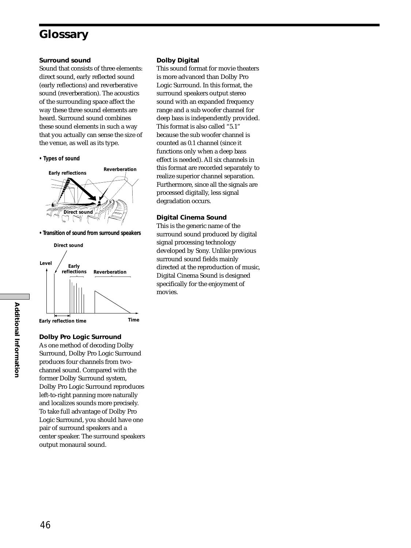## <span id="page-45-0"></span>**Glossary**

#### **Surround sound**

Sound that consists of three elements: direct sound, early reflected sound (early reflections) and reverberative sound (reverberation). The acoustics of the surrounding space affect the way these three sound elements are heard. Surround sound combines these sound elements in such a way that you actually can sense the size of the venue, as well as its type.

**• Types of sound**



**• Transition of sound from surround speakers**



#### **Dolby Pro Logic Surround**

As one method of decoding Dolby Surround, Dolby Pro Logic Surround produces four channels from twochannel sound. Compared with the former Dolby Surround system, Dolby Pro Logic Surround reproduces left-to-right panning more naturally and localizes sounds more precisely. To take full advantage of Dolby Pro Logic Surround, you should have one pair of surround speakers and a center speaker. The surround speakers output monaural sound.

#### **Dolby Digital**

This sound format for movie theaters is more advanced than Dolby Pro Logic Surround. In this format, the surround speakers output stereo sound with an expanded frequency range and a sub woofer channel for deep bass is independently provided. This format is also called "5.1" because the sub woofer channel is counted as 0.1 channel (since it functions only when a deep bass effect is needed). All six channels in this format are recorded separately to realize superior channel separation. Furthermore, since all the signals are processed digitally, less signal degradation occurs.

#### **Digital Cinema Sound**

This is the generic name of the surround sound produced by digital signal processing technology developed by Sony. Unlike previous surround sound fields mainly directed at the reproduction of music, Digital Cinema Sound is designed specifically for the enjoyment of movies.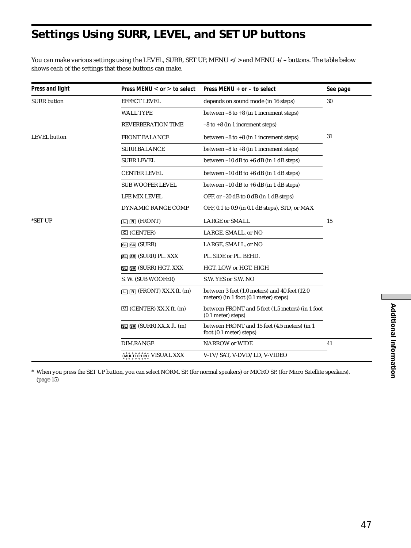## <span id="page-46-0"></span>**Settings Using SURR, LEVEL, and SET UP buttons**

You can make various settings using the LEVEL, SURR, SET UP, MENU </> and MENU +/- buttons. The table below shows each of the settings that these buttons can make.

| Press and light     | Press MENU $\le$ or $>$ to select         | Press MENU + or - to select                                                            | See page |
|---------------------|-------------------------------------------|----------------------------------------------------------------------------------------|----------|
| <b>SURR</b> button  | <b>EFFECT LEVEL</b>                       | depends on sound mode (in 16 steps)                                                    | 30       |
|                     | <b>WALL TYPE</b>                          | between $-8$ to $+8$ (in 1 increment steps)                                            |          |
|                     | <b>REVERBERATION TIME</b>                 | $-8$ to $+8$ (in 1 increment steps)                                                    |          |
| <b>LEVEL</b> button | <b>FRONT BALANCE</b>                      | between $-8$ to $+8$ (in 1 increment steps)                                            | 31       |
|                     | <b>SURR BALANCE</b>                       | between $-8$ to $+8$ (in 1 increment steps)                                            |          |
|                     | <b>SURR LEVEL</b>                         | between $-10$ dB to $+6$ dB (in 1 dB steps)                                            |          |
|                     | CENTER LEVEL                              | between $-10$ dB to $+6$ dB (in 1 dB steps)                                            |          |
|                     | <b>SUB WOOFER LEVEL</b>                   | between $-10$ dB to $+6$ dB (in 1 dB steps)                                            |          |
|                     | LFE MIX LEVEL                             | OFF, or -20 dB to 0 dB (in 1 dB steps)                                                 |          |
|                     | DYNAMIC RANGE COMP                        | OFF, 0.1 to 0.9 (in 0.1 dB steps), STD, or MAX                                         |          |
| *SET UP             | $\Box$ $\Box$ (FRONT)                     | <b>LARGE or SMALL</b>                                                                  | 15       |
|                     | $\Box$ (CENTER)                           | LARGE, SMALL, or NO                                                                    |          |
|                     | $SL$ $SR$ (SURR)                          | LARGE, SMALL, or NO                                                                    |          |
|                     | <b>SLI SRI (SURR) PL. XXX</b>             | PL. SIDE or PL. BEHD.                                                                  |          |
|                     | $ SL $ $ SR $ (SURR) HGT. XXX             | HGT. LOW or HGT. HIGH                                                                  |          |
|                     | S. W. (SUB WOOFER)                        | S.W. YES or S.W. NO                                                                    |          |
|                     | $\Box$ $\Box$ (FRONT) XX.X ft. (m)        | between 3 feet (1.0 meters) and 40 feet (12.0<br>meters) (in 1 foot (0.1 meter) steps) |          |
|                     | $\boxed{\subseteq}$ (CENTER) XX.X ft. (m) | between FRONT and 5 feet (1.5 meters) (in 1 foot<br>$(0.1$ meter) steps)               |          |
|                     | $SL$ $SR$ (SURR) XX.X ft. $(m)$           | between FRONT and 15 feet (4.5 meters) (in 1<br>foot (0.1 meter) steps)                |          |
|                     | DIM.RANGE                                 | <b>NARROW</b> or WIDE                                                                  | 41       |
|                     | √MULTI CH IN VISUAL XXX                   | V-TV/SAT, V-DVD/LD, V-VIDEO                                                            |          |

\* When you press the SET UP button, you can select NORM. SP. (for normal speakers) or MICRO SP. (for Micro Satellite speakers). (page 15)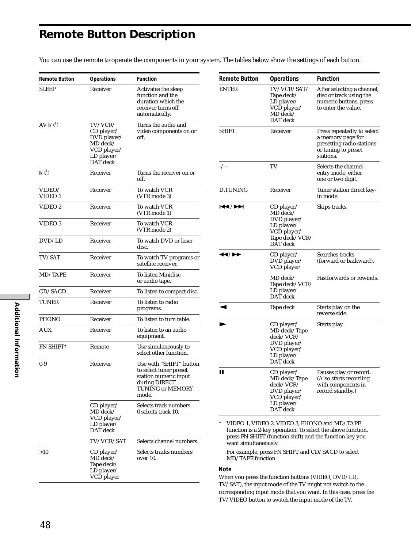### <span id="page-47-0"></span>**Remote Button Description**

You can use the remote to operate the components in your system. The tables below show the settings of each button.

| <b>Remote Button</b> | <b>Operations</b>                                                                         | <b>Function</b>                                                                                                                 |
|----------------------|-------------------------------------------------------------------------------------------|---------------------------------------------------------------------------------------------------------------------------------|
| <b>SLEEP</b>         | Receiver                                                                                  | Activates the sleep<br>function and the<br>duration which the<br>receiver turns off<br>automatically.                           |
| AVI/D                | TV/VCR/<br>CD player/<br>DVD player/<br>MD deck/<br>VCD player/<br>LD player/<br>DAT deck | Turns the audio and<br>video components on or<br>off.                                                                           |
| 1/(1)                | Receiver                                                                                  | Turns the receiver on or<br>off.                                                                                                |
| VIDEO/<br>VIDEO 1    | Receiver                                                                                  | To watch VCR<br>(VTR mode 3)                                                                                                    |
| VIDEO 2              | Receiver                                                                                  | To watch VCR<br>(VTR mode 1)                                                                                                    |
| VIDEO 3              | Receiver                                                                                  | To watch VCR<br>(VTR mode 2)                                                                                                    |
| DVD/LD               | Receiver                                                                                  | To watch DVD or laser<br>disc.                                                                                                  |
| TV/SAT               | Receiver                                                                                  | To watch TV programs or<br>satellite receiver.                                                                                  |
| MD/TAPE              | Receiver                                                                                  | To listen Minidisc<br>or audio tape.                                                                                            |
| CD/SACD              | Receiver                                                                                  | To listen to compact disc.                                                                                                      |
| TUNER                | Receiver                                                                                  | To listen to radio<br>programs.                                                                                                 |
| PHONO                | Receiver                                                                                  | To listen to turn table.                                                                                                        |
| <b>AUX</b>           | Receiver                                                                                  | To listen to an audio<br>equipment.                                                                                             |
| <b>FN SHIFT*</b>     | Remote                                                                                    | Use simulaneously to<br>select other function.                                                                                  |
| $0-9$                | Receiver                                                                                  | Use with "SHIFT" button<br>to select tuner preset<br>station numeric input<br>during DIRECT<br><b>TUNING or MEMORY</b><br>mode. |
|                      | $CD$ player/<br>MD deck/<br>VCD player/<br>$LD$ player/<br>DAT deck                       | Selects track numbers.<br>0 selects track 10.                                                                                   |
|                      | TV/VCR/SAT                                                                                | Selects channel numbers.                                                                                                        |
| >10                  | CD player/<br>MD deck/<br>Tape deck/<br>LD player/<br>VCD player                          | Selects tracks numbers<br>over 10.                                                                                              |

| <b>Remote Button</b> | Operations                                                                                       | <b>Function</b>                                                                                                  |
|----------------------|--------------------------------------------------------------------------------------------------|------------------------------------------------------------------------------------------------------------------|
| <b>ENTER</b>         | TV/VCR/SAT/<br>Tape deck/<br>LD player/<br>VCD player/<br>MD deck/<br>DAT deck                   | After selecting a channel,<br>disc or track using the<br>numeric buttons, press<br>to enter the value.           |
| <b>SHIFT</b>         | Receiver                                                                                         | Press repeatedly to select<br>a memory page for<br>presetting radio stations<br>or tuning to preset<br>stations. |
| -/--                 | TV                                                                                               | Selects the channel<br>entry mode, either<br>one or two digit.                                                   |
| D.TUNING             | Receiver                                                                                         | Tuner station direct key-<br>in mode.                                                                            |
| KK ⁄ DDI             | CD player/<br>MD deck/<br>DVD player/<br>LD player∕<br>VCD player/<br>Tape deck/VCR/<br>DAT deck | Skips tracks.                                                                                                    |
| ◀∕▶▶                 | CD player/<br>DVD player/<br>VCD player                                                          | Searches tracks<br>(forward or backward).                                                                        |
|                      | MD deck/<br>Tape deck/VCR/<br>LD player/<br>DAT deck                                             | Fastforwards or rewinds.                                                                                         |
|                      | Tape deck                                                                                        | Starts play on the<br>reverse side.                                                                              |
|                      | CD player/<br>MD deck/Tape<br>deck/VCR/<br>DVD player/<br>VCD player/<br>LD player/<br>DAT deck  | Starts play.                                                                                                     |
| Ш                    | CD player/<br>MD deck/Tape<br>deck/VCR/<br>DVD player/<br>VCD player/<br>LD player/<br>DAT deck  | Pauses play or record.<br>(Also starts recording<br>with components in<br>record standby.)                       |

\* VIDEO 1, VIDEO 2, VIDEO 3, PHONO and MD/TAPE function is a 2-key operation. To select the above function, press FN SHIFT (function shift) and the function key you want simultaneously.

For example, press FN SHIFT and CD/SACD to select MD/TAPE function.

#### **Note**

When you press the function buttons (VIDEO, DVD/LD, TV/SAT), the input mode of the TV might not switch to the corresponding input mode that you want. In this case, press the TV/VIDEO button to switch the input mode of the TV.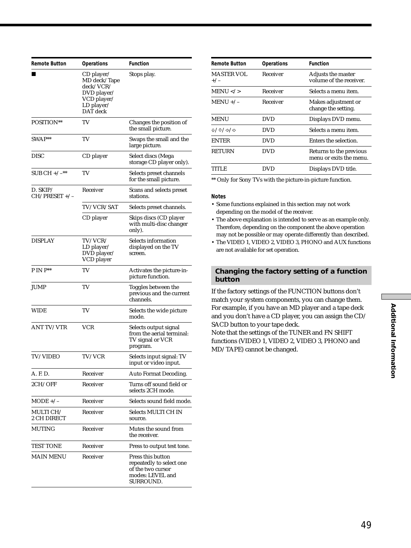| <b>Remote Button</b>      | Operations                                                                                        | <b>Function</b>                                                                                     |
|---------------------------|---------------------------------------------------------------------------------------------------|-----------------------------------------------------------------------------------------------------|
|                           | $CD$ player/<br>MD deck/Tape<br>deck/VCR/<br>DVD player/<br>VCD player/<br>LD player/<br>DAT deck | Stops play.                                                                                         |
| POSITION**                | TV                                                                                                | Changes the position of<br>the small picture.                                                       |
| SWAP**                    | TV                                                                                                | Swaps the small and the<br>large picture.                                                           |
| <b>DISC</b>               | CD player                                                                                         | Select discs (Mega<br>storage CD player only).                                                      |
| $SUB CH + / -$ **         | TV                                                                                                | Selects preset channels<br>for the small picture.                                                   |
| D. SKIP/<br>CH/PRESET +/- | Receiver                                                                                          | Scans and selects preset<br>stations.                                                               |
|                           | TV/VCR/SAT                                                                                        | Selects preset channels.                                                                            |
|                           | CD player                                                                                         | Skips discs (CD player<br>with multi-disc changer<br>only).                                         |
| <b>DISPLAY</b>            | TV/VCR/<br>LD player/<br>DVD player/<br>VCD player                                                | Selects information<br>displayed on the TV<br>screen.                                               |
| $P IN P^{**}$             | TV                                                                                                | Activates the picture-in-<br>picture function.                                                      |
| <b>JUMP</b>               | TV                                                                                                | Toggles between the<br>previous and the current<br>channels.                                        |
| WIDE                      | TV                                                                                                | Selects the wide picture<br>mode.                                                                   |
| <b>ANT TV/VTR</b>         | VCR                                                                                               | Selects output signal<br>from the aerial terminal:<br>TV signal or VCR<br>program.                  |
| <b>TV/VIDEO</b>           | TV/VCR                                                                                            | Selects input signal: TV<br>input or video input.                                                   |
| A. F. D.                  | Receiver                                                                                          | Auto Format Decoding.                                                                               |
| 2CH/OFF                   | Receiver                                                                                          | Turns off sound field or<br>selects 2CH mode.                                                       |
| $MODE +/-$                | Receiver                                                                                          | Selects sound field mode.                                                                           |
| MULTI CH/<br>2 CH DIRECT  | Receiver                                                                                          | Selects MULTI CH IN<br>source.                                                                      |
| MUTING                    | Receiver                                                                                          | Mutes the sound from<br>the receiver.                                                               |
| <b>TEST TONE</b>          | Receiver                                                                                          | Press to output test tone.                                                                          |
| <b>MAIN MENU</b>          | Receiver                                                                                          | Press this button<br>repeatedly to select one<br>of the two cursor<br>modes: LEVEL and<br>SURROUND. |

| <b>Remote Button</b>       | <b>Operations</b> | <b>Function</b>                                    |
|----------------------------|-------------------|----------------------------------------------------|
| <b>MASTER VOL</b><br>$+/-$ | Receiver          | Adjusts the master<br>volume of the receiver.      |
| $MENII <$ />               | Receiver          | Selects a menu item.                               |
| $MENU + / -$               | Receiver          | Makes adjustment or<br>change the setting.         |
| MENU                       | DVD               | Displays DVD menu.                                 |
| ↑/↑/⇔/↔                    | DVD               | Selects a menu item.                               |
| <b>ENTER</b>               | DVD               | Enters the selection.                              |
| <b>RETURN</b>              | DVD               | Returns to the previous<br>menu or exits the menu. |
| TITI E                     | DVD               | Displays DVD title.                                |
|                            |                   |                                                    |

\*\* Only for Sony TVs with the picture-in-picture function.

#### **Notes**

- Some functions explained in this section may not work depending on the model of the receiver.
- The above explanation is intended to serve as an example only. Therefore, depending on the component the above operation may not be possible or may operate differently than described.
- The VIDEO 1, VIDEO 2, VIDEO 3, PHONO and AUX functions are not available for set operation.

#### **Changing the factory setting of a function button**

If the factory settings of the FUNCTION buttons don't match your system components, you can change them. For example, if you have an MD player and a tape deck and you don't have a CD player, you can assign the CD/ SACD button to your tape deck.

Note that the settings of the TUNER and FN SHIFT functions (VIDEO 1, VIDEO 2, VIDEO 3, PHONO and MD/TAPE) cannot be changed.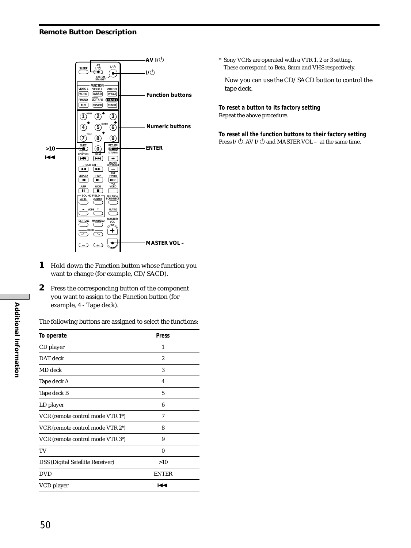#### **Remote Button Description**



- **1** Hold down the Function button whose function you want to change (for example, CD/SACD).
- **2** Press the corresponding button of the component you want to assign to the Function button (for example, 4 - Tape deck).

The following buttons are assigned to select the functions:

| To operate                              | Press          |
|-----------------------------------------|----------------|
| CD player                               | 1              |
| DAT deck                                | $\overline{c}$ |
| MD deck                                 | 3              |
| Tape deck A                             | 4              |
| Tape deck B                             | 5              |
| LD player                               | 6              |
| VCR (remote control mode VTR 1*)        | 7              |
| VCR (remote control mode VTR 2*)        | 8              |
| VCR (remote control mode VTR 3*)        | 9              |
| TV                                      | $\bf{0}$       |
| <b>DSS</b> (Digital Satellite Receiver) | >10            |
| <b>DVD</b>                              | <b>ENTER</b>   |
| VCD player                              | ю              |

\* Sony VCRs are operated with a VTR 1, 2 or 3 setting. These correspond to Beta, 8mm and VHS respectively.

Now you can use the CD/SACD button to control the tape deck.

**To reset a button to its factory setting** Repeat the above procedure.

**To reset all the function buttons to their factory setting** Press  $I/\bigcirc$ , AV  $I/\bigcirc$  and MASTER VOL – at the same time.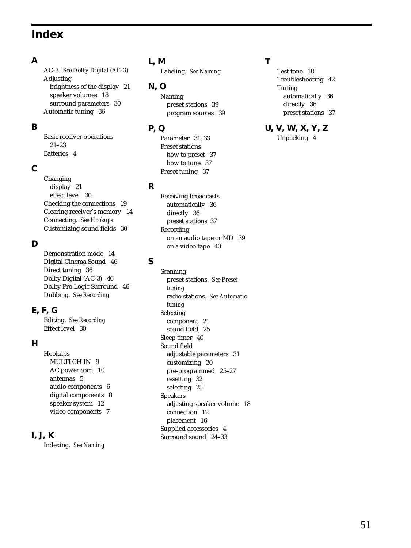### <span id="page-50-0"></span>**Index**

#### **A**

AC-3. *See Dolby Digital (AC-3)* Adjusting brightness of the display 21 speaker volumes 18 surround parameters 30 Automatic tuning 36

#### **B**

Basic receiver operations 21–23 Batteries 4

#### **C**

Changing display 21 effect level 30 Checking the connections 19 Clearing receiver's memory 14 Connecting. *See Hookups* Customizing sound fields 30

#### **D**

Demonstration mode 14 Digital Cinema Sound 46 Direct tuning 36 Dolby Digital (AC-3) 46 Dolby Pro Logic Surround 46 Dubbing. *See Recording*

#### **E, F, G**

Editing. *See Recording* Effect level 30

#### **H**

Hookups MULTI CH IN 9 AC power cord 10 antennas 5 audio components 6 digital components 8 speaker system 12 video components 7

#### **I, J, K**

Indexing. *See Naming*

#### **L, M**

Labeling. *See Naming*

#### **N, O**

Naming preset stations 39 program sources 39

#### **P, Q**

Parameter 31, 33 Preset stations how to preset 37 how to tune 37 Preset tuning 37

#### **R**

Receiving broadcasts automatically 36 directly 36 preset stations 37 Recording on an audio tape or MD 39 on a video tape 40

#### **S**

Scanning preset stations. *See Preset tuning* radio stations. *See Automatic tuning* Selecting component 21 sound field 25 Sleep timer 40 Sound field adjustable parameters 31 customizing 30 pre-programmed 25–27 resetting 32 selecting 25 Speakers adjusting speaker volume 18 connection 12 placement 16 Supplied accessories 4 Surround sound 24–33

#### **T**

Test tone 18 Troubleshooting 42 Tuning automatically 36 directly 36 preset stations 37

#### **U, V, W, X, Y, Z**

Unpacking 4